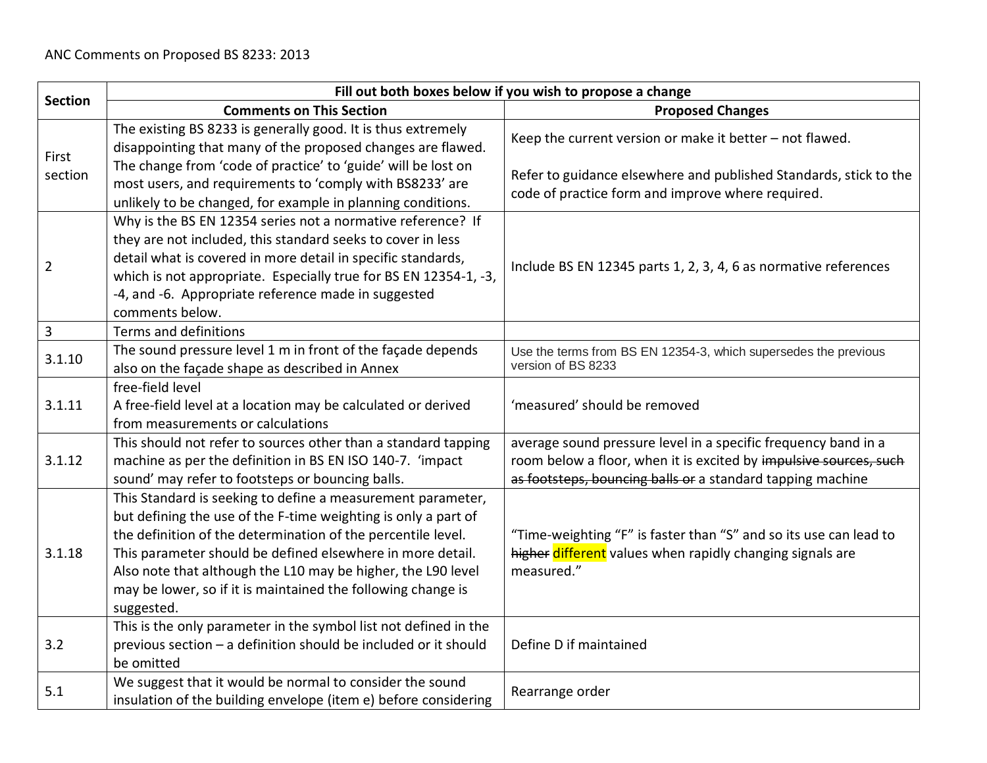|                  | Fill out both boxes below if you wish to propose a change                                                                                                                                                                                                                                                                                                                                                 |                                                                                                                                                                                                   |
|------------------|-----------------------------------------------------------------------------------------------------------------------------------------------------------------------------------------------------------------------------------------------------------------------------------------------------------------------------------------------------------------------------------------------------------|---------------------------------------------------------------------------------------------------------------------------------------------------------------------------------------------------|
| <b>Section</b>   | <b>Comments on This Section</b>                                                                                                                                                                                                                                                                                                                                                                           | <b>Proposed Changes</b>                                                                                                                                                                           |
| First<br>section | The existing BS 8233 is generally good. It is thus extremely<br>disappointing that many of the proposed changes are flawed.<br>The change from 'code of practice' to 'guide' will be lost on                                                                                                                                                                                                              | Keep the current version or make it better - not flawed.<br>Refer to guidance elsewhere and published Standards, stick to the                                                                     |
|                  | most users, and requirements to 'comply with BS8233' are<br>unlikely to be changed, for example in planning conditions.                                                                                                                                                                                                                                                                                   | code of practice form and improve where required.                                                                                                                                                 |
| $\overline{2}$   | Why is the BS EN 12354 series not a normative reference? If<br>they are not included, this standard seeks to cover in less<br>detail what is covered in more detail in specific standards,<br>which is not appropriate. Especially true for BS EN 12354-1, -3,<br>-4, and -6. Appropriate reference made in suggested<br>comments below.                                                                  | Include BS EN 12345 parts 1, 2, 3, 4, 6 as normative references                                                                                                                                   |
| $\overline{3}$   | Terms and definitions                                                                                                                                                                                                                                                                                                                                                                                     |                                                                                                                                                                                                   |
| 3.1.10           | The sound pressure level 1 m in front of the façade depends<br>also on the façade shape as described in Annex                                                                                                                                                                                                                                                                                             | Use the terms from BS EN 12354-3, which supersedes the previous<br>version of BS 8233                                                                                                             |
| 3.1.11           | free-field level<br>A free-field level at a location may be calculated or derived<br>from measurements or calculations                                                                                                                                                                                                                                                                                    | 'measured' should be removed                                                                                                                                                                      |
| 3.1.12           | This should not refer to sources other than a standard tapping<br>machine as per the definition in BS EN ISO 140-7. 'impact<br>sound' may refer to footsteps or bouncing balls.                                                                                                                                                                                                                           | average sound pressure level in a specific frequency band in a<br>room below a floor, when it is excited by impulsive sources, such<br>as footsteps, bouncing balls or a standard tapping machine |
| 3.1.18           | This Standard is seeking to define a measurement parameter,<br>but defining the use of the F-time weighting is only a part of<br>the definition of the determination of the percentile level.<br>This parameter should be defined elsewhere in more detail.<br>Also note that although the L10 may be higher, the L90 level<br>may be lower, so if it is maintained the following change is<br>suggested. | "Time-weighting "F" is faster than "S" and so its use can lead to<br>higher different values when rapidly changing signals are<br>measured."                                                      |
| 3.2              | This is the only parameter in the symbol list not defined in the<br>previous section - a definition should be included or it should<br>be omitted                                                                                                                                                                                                                                                         | Define D if maintained                                                                                                                                                                            |
| 5.1              | We suggest that it would be normal to consider the sound<br>insulation of the building envelope (item e) before considering                                                                                                                                                                                                                                                                               | Rearrange order                                                                                                                                                                                   |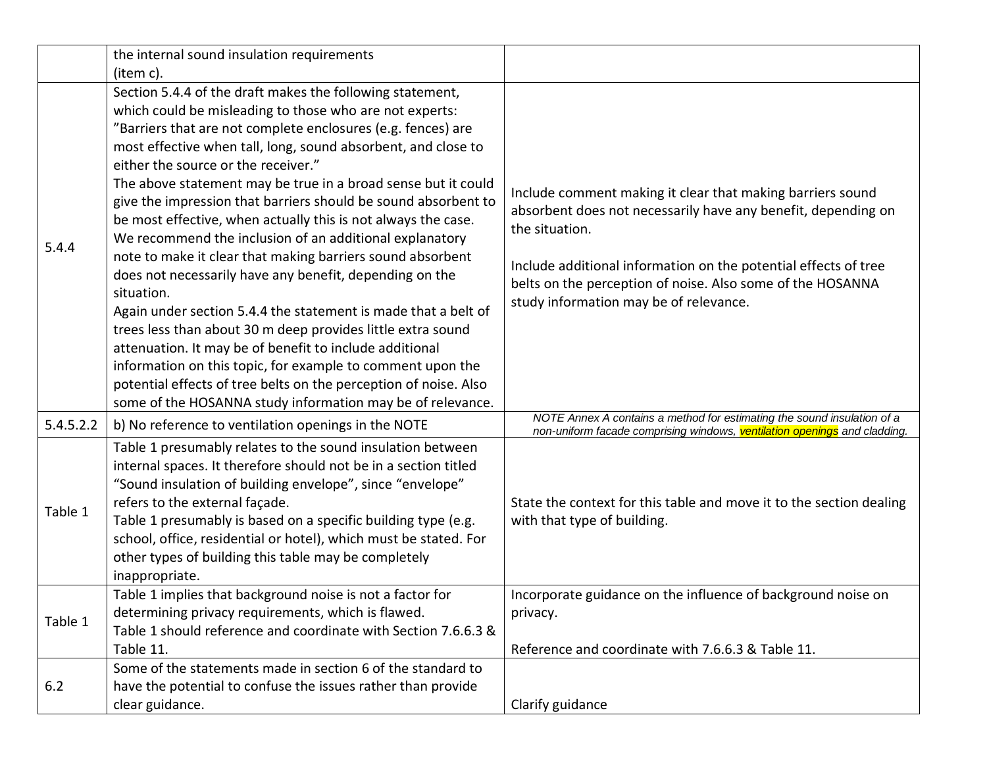|           | the internal sound insulation requirements                       |                                                                                                                                                      |
|-----------|------------------------------------------------------------------|------------------------------------------------------------------------------------------------------------------------------------------------------|
|           | (item c).                                                        |                                                                                                                                                      |
|           | Section 5.4.4 of the draft makes the following statement,        |                                                                                                                                                      |
|           | which could be misleading to those who are not experts:          |                                                                                                                                                      |
|           | "Barriers that are not complete enclosures (e.g. fences) are     |                                                                                                                                                      |
|           | most effective when tall, long, sound absorbent, and close to    |                                                                                                                                                      |
|           | either the source or the receiver."                              |                                                                                                                                                      |
|           | The above statement may be true in a broad sense but it could    |                                                                                                                                                      |
|           | give the impression that barriers should be sound absorbent to   | Include comment making it clear that making barriers sound                                                                                           |
|           | be most effective, when actually this is not always the case.    | absorbent does not necessarily have any benefit, depending on<br>the situation.                                                                      |
| 5.4.4     | We recommend the inclusion of an additional explanatory          |                                                                                                                                                      |
|           | note to make it clear that making barriers sound absorbent       | Include additional information on the potential effects of tree                                                                                      |
|           | does not necessarily have any benefit, depending on the          | belts on the perception of noise. Also some of the HOSANNA                                                                                           |
|           | situation.                                                       | study information may be of relevance.                                                                                                               |
|           | Again under section 5.4.4 the statement is made that a belt of   |                                                                                                                                                      |
|           | trees less than about 30 m deep provides little extra sound      |                                                                                                                                                      |
|           | attenuation. It may be of benefit to include additional          |                                                                                                                                                      |
|           | information on this topic, for example to comment upon the       |                                                                                                                                                      |
|           | potential effects of tree belts on the perception of noise. Also |                                                                                                                                                      |
|           | some of the HOSANNA study information may be of relevance.       |                                                                                                                                                      |
| 5.4.5.2.2 | b) No reference to ventilation openings in the NOTE              | NOTE Annex A contains a method for estimating the sound insulation of a<br>non-uniform facade comprising windows, ventilation openings and cladding. |
|           | Table 1 presumably relates to the sound insulation between       |                                                                                                                                                      |
|           | internal spaces. It therefore should not be in a section titled  |                                                                                                                                                      |
|           | "Sound insulation of building envelope", since "envelope"        |                                                                                                                                                      |
| Table 1   | refers to the external façade.                                   | State the context for this table and move it to the section dealing                                                                                  |
|           | Table 1 presumably is based on a specific building type (e.g.    | with that type of building.                                                                                                                          |
|           | school, office, residential or hotel), which must be stated. For |                                                                                                                                                      |
|           | other types of building this table may be completely             |                                                                                                                                                      |
|           | inappropriate.                                                   |                                                                                                                                                      |
|           | Table 1 implies that background noise is not a factor for        | Incorporate guidance on the influence of background noise on                                                                                         |
| Table 1   | determining privacy requirements, which is flawed.               | privacy.                                                                                                                                             |
|           | Table 1 should reference and coordinate with Section 7.6.6.3 &   |                                                                                                                                                      |
|           | Table 11.                                                        | Reference and coordinate with 7.6.6.3 & Table 11.                                                                                                    |
|           | Some of the statements made in section 6 of the standard to      |                                                                                                                                                      |
| 6.2       | have the potential to confuse the issues rather than provide     |                                                                                                                                                      |
|           | clear guidance.                                                  | Clarify guidance                                                                                                                                     |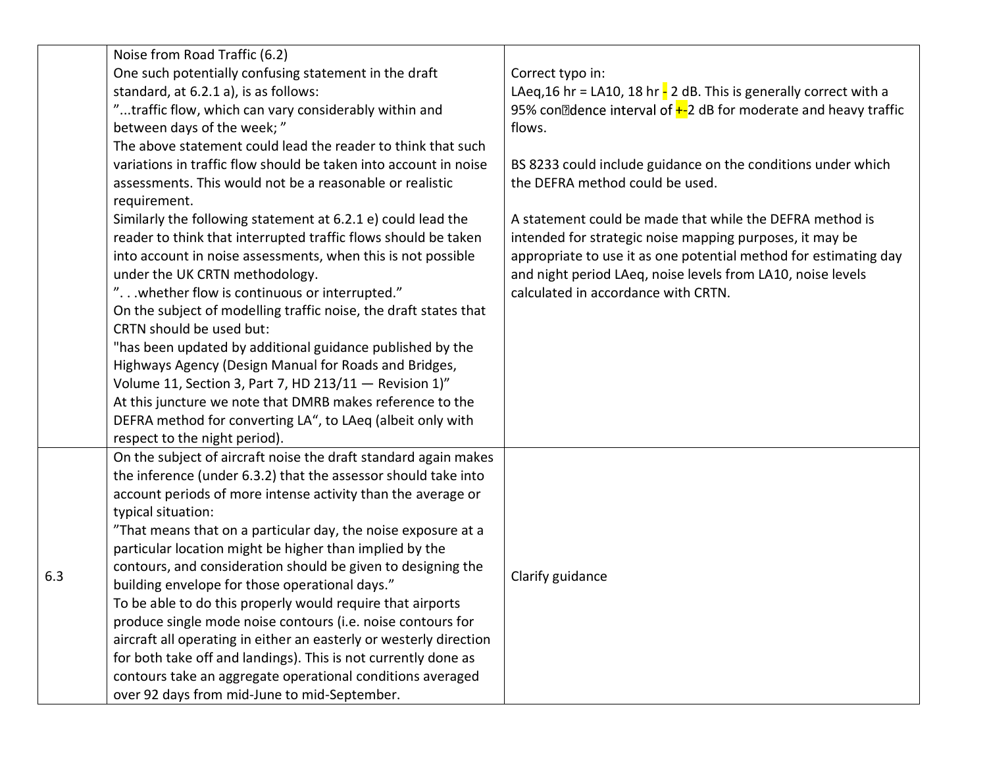|     | Noise from Road Traffic (6.2)                                      |                                                                                |
|-----|--------------------------------------------------------------------|--------------------------------------------------------------------------------|
|     | One such potentially confusing statement in the draft              | Correct typo in:                                                               |
|     | standard, at 6.2.1 a), is as follows:                              | LAeq, 16 hr = LA10, 18 hr $\frac{1}{2}$ 2 dB. This is generally correct with a |
|     | "traffic flow, which can vary considerably within and              | 95% con<br>2dence interval of $+2$ dB for moderate and heavy traffic           |
|     | between days of the week;"                                         | flows.                                                                         |
|     | The above statement could lead the reader to think that such       |                                                                                |
|     | variations in traffic flow should be taken into account in noise   | BS 8233 could include guidance on the conditions under which                   |
|     | assessments. This would not be a reasonable or realistic           | the DEFRA method could be used.                                                |
|     | requirement.                                                       |                                                                                |
|     | Similarly the following statement at 6.2.1 e) could lead the       | A statement could be made that while the DEFRA method is                       |
|     | reader to think that interrupted traffic flows should be taken     | intended for strategic noise mapping purposes, it may be                       |
|     | into account in noise assessments, when this is not possible       | appropriate to use it as one potential method for estimating day               |
|     | under the UK CRTN methodology.                                     | and night period LAeq, noise levels from LA10, noise levels                    |
|     | " whether flow is continuous or interrupted."                      | calculated in accordance with CRTN.                                            |
|     | On the subject of modelling traffic noise, the draft states that   |                                                                                |
|     | CRTN should be used but:                                           |                                                                                |
|     | "has been updated by additional guidance published by the          |                                                                                |
|     | Highways Agency (Design Manual for Roads and Bridges,              |                                                                                |
|     | Volume 11, Section 3, Part 7, HD 213/11 - Revision 1)"             |                                                                                |
|     | At this juncture we note that DMRB makes reference to the          |                                                                                |
|     | DEFRA method for converting LA", to LAeq (albeit only with         |                                                                                |
|     | respect to the night period).                                      |                                                                                |
|     | On the subject of aircraft noise the draft standard again makes    |                                                                                |
|     | the inference (under 6.3.2) that the assessor should take into     |                                                                                |
|     | account periods of more intense activity than the average or       |                                                                                |
|     | typical situation:                                                 |                                                                                |
|     | "That means that on a particular day, the noise exposure at a      |                                                                                |
|     | particular location might be higher than implied by the            |                                                                                |
| 6.3 | contours, and consideration should be given to designing the       | Clarify guidance                                                               |
|     | building envelope for those operational days."                     |                                                                                |
|     | To be able to do this properly would require that airports         |                                                                                |
|     | produce single mode noise contours (i.e. noise contours for        |                                                                                |
|     | aircraft all operating in either an easterly or westerly direction |                                                                                |
|     | for both take off and landings). This is not currently done as     |                                                                                |
|     | contours take an aggregate operational conditions averaged         |                                                                                |
|     | over 92 days from mid-June to mid-September.                       |                                                                                |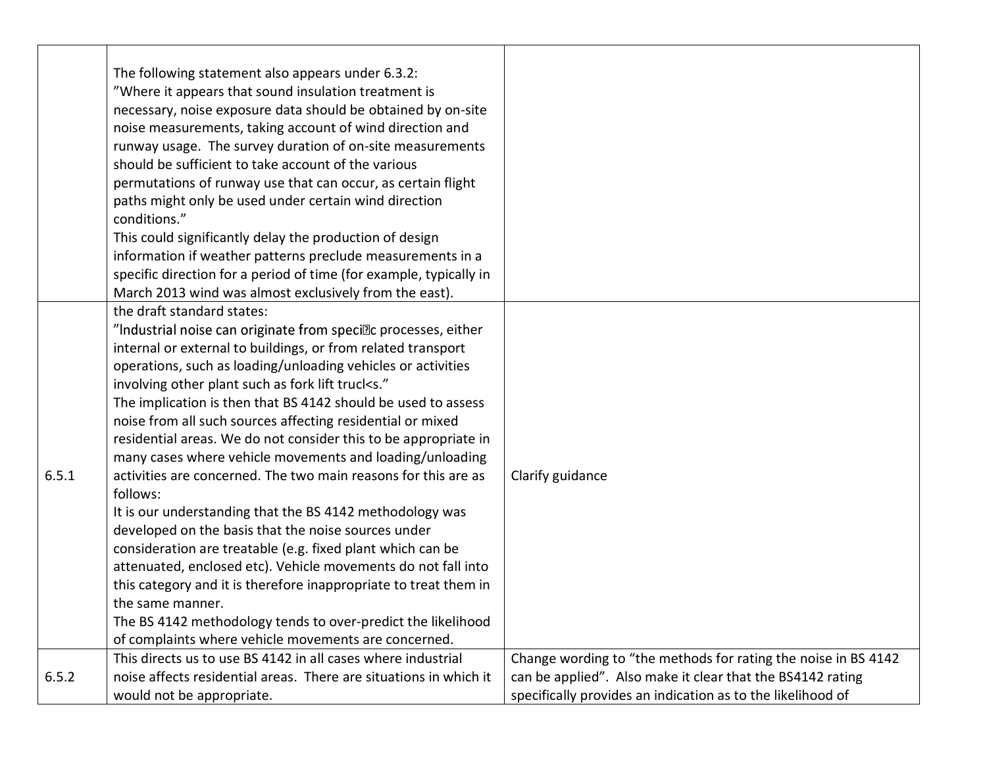|       | The following statement also appears under 6.3.2:                  |                                                                |
|-------|--------------------------------------------------------------------|----------------------------------------------------------------|
|       | "Where it appears that sound insulation treatment is               |                                                                |
|       | necessary, noise exposure data should be obtained by on-site       |                                                                |
|       | noise measurements, taking account of wind direction and           |                                                                |
|       | runway usage. The survey duration of on-site measurements          |                                                                |
|       | should be sufficient to take account of the various                |                                                                |
|       | permutations of runway use that can occur, as certain flight       |                                                                |
|       | paths might only be used under certain wind direction              |                                                                |
|       | conditions."                                                       |                                                                |
|       | This could significantly delay the production of design            |                                                                |
|       | information if weather patterns preclude measurements in a         |                                                                |
|       | specific direction for a period of time (for example, typically in |                                                                |
|       | March 2013 wind was almost exclusively from the east).             |                                                                |
|       | the draft standard states:                                         |                                                                |
|       | "Industrial noise can originate from specillc processes, either    |                                                                |
|       | internal or external to buildings, or from related transport       |                                                                |
|       | operations, such as loading/unloading vehicles or activities       |                                                                |
|       | involving other plant such as fork lift trucks."                   |                                                                |
|       | The implication is then that BS 4142 should be used to assess      |                                                                |
|       | noise from all such sources affecting residential or mixed         |                                                                |
|       | residential areas. We do not consider this to be appropriate in    |                                                                |
|       | many cases where vehicle movements and loading/unloading           |                                                                |
| 6.5.1 | activities are concerned. The two main reasons for this are as     | Clarify guidance                                               |
|       | follows:                                                           |                                                                |
|       | It is our understanding that the BS 4142 methodology was           |                                                                |
|       | developed on the basis that the noise sources under                |                                                                |
|       | consideration are treatable (e.g. fixed plant which can be         |                                                                |
|       | attenuated, enclosed etc). Vehicle movements do not fall into      |                                                                |
|       | this category and it is therefore inappropriate to treat them in   |                                                                |
|       | the same manner.                                                   |                                                                |
|       | The BS 4142 methodology tends to over-predict the likelihood       |                                                                |
|       | of complaints where vehicle movements are concerned.               |                                                                |
|       | This directs us to use BS 4142 in all cases where industrial       | Change wording to "the methods for rating the noise in BS 4142 |
| 6.5.2 | noise affects residential areas. There are situations in which it  | can be applied". Also make it clear that the BS4142 rating     |
|       | would not be appropriate.                                          | specifically provides an indication as to the likelihood of    |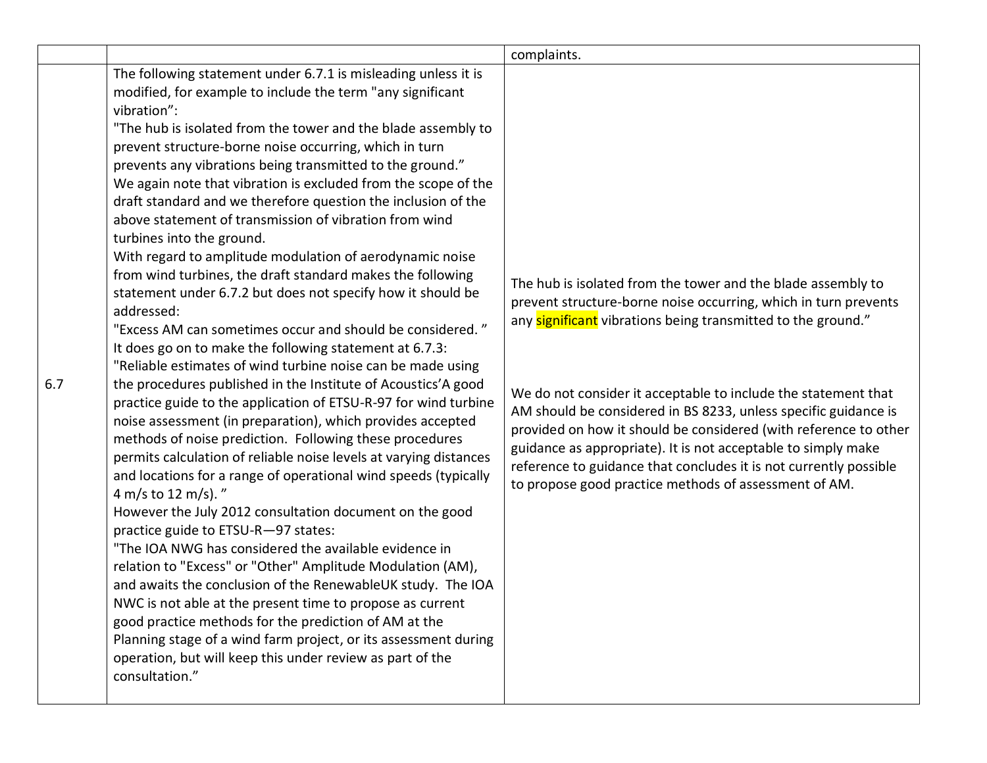|     |                                                                                                                                                                                                                                                                                                                                                                                                                                                                                                                                                                                                                                                                                                                                                                                                                                                                                                                                                                                                                                                                                                                                                                                                                                                                                                                                                                                                                                                                                                                                                                                                                                                                                                                                                                                                                                                                                                                                                        | complaints.                                                                                                                                                                                                                                                                                                                                                                                                                                                                                                                                                                                             |
|-----|--------------------------------------------------------------------------------------------------------------------------------------------------------------------------------------------------------------------------------------------------------------------------------------------------------------------------------------------------------------------------------------------------------------------------------------------------------------------------------------------------------------------------------------------------------------------------------------------------------------------------------------------------------------------------------------------------------------------------------------------------------------------------------------------------------------------------------------------------------------------------------------------------------------------------------------------------------------------------------------------------------------------------------------------------------------------------------------------------------------------------------------------------------------------------------------------------------------------------------------------------------------------------------------------------------------------------------------------------------------------------------------------------------------------------------------------------------------------------------------------------------------------------------------------------------------------------------------------------------------------------------------------------------------------------------------------------------------------------------------------------------------------------------------------------------------------------------------------------------------------------------------------------------------------------------------------------------|---------------------------------------------------------------------------------------------------------------------------------------------------------------------------------------------------------------------------------------------------------------------------------------------------------------------------------------------------------------------------------------------------------------------------------------------------------------------------------------------------------------------------------------------------------------------------------------------------------|
| 6.7 | The following statement under 6.7.1 is misleading unless it is<br>modified, for example to include the term "any significant<br>vibration":<br>"The hub is isolated from the tower and the blade assembly to<br>prevent structure-borne noise occurring, which in turn<br>prevents any vibrations being transmitted to the ground."<br>We again note that vibration is excluded from the scope of the<br>draft standard and we therefore question the inclusion of the<br>above statement of transmission of vibration from wind<br>turbines into the ground.<br>With regard to amplitude modulation of aerodynamic noise<br>from wind turbines, the draft standard makes the following<br>statement under 6.7.2 but does not specify how it should be<br>addressed:<br>"Excess AM can sometimes occur and should be considered."<br>It does go on to make the following statement at 6.7.3:<br>"Reliable estimates of wind turbine noise can be made using<br>the procedures published in the Institute of Acoustics'A good<br>practice guide to the application of ETSU-R-97 for wind turbine<br>noise assessment (in preparation), which provides accepted<br>methods of noise prediction. Following these procedures<br>permits calculation of reliable noise levels at varying distances<br>and locations for a range of operational wind speeds (typically<br>4 m/s to 12 m/s)."<br>However the July 2012 consultation document on the good<br>practice guide to ETSU-R-97 states:<br>"The IOA NWG has considered the available evidence in<br>relation to "Excess" or "Other" Amplitude Modulation (AM),<br>and awaits the conclusion of the RenewableUK study. The IOA<br>NWC is not able at the present time to propose as current<br>good practice methods for the prediction of AM at the<br>Planning stage of a wind farm project, or its assessment during<br>operation, but will keep this under review as part of the<br>consultation." | The hub is isolated from the tower and the blade assembly to<br>prevent structure-borne noise occurring, which in turn prevents<br>any significant vibrations being transmitted to the ground."<br>We do not consider it acceptable to include the statement that<br>AM should be considered in BS 8233, unless specific guidance is<br>provided on how it should be considered (with reference to other<br>guidance as appropriate). It is not acceptable to simply make<br>reference to guidance that concludes it is not currently possible<br>to propose good practice methods of assessment of AM. |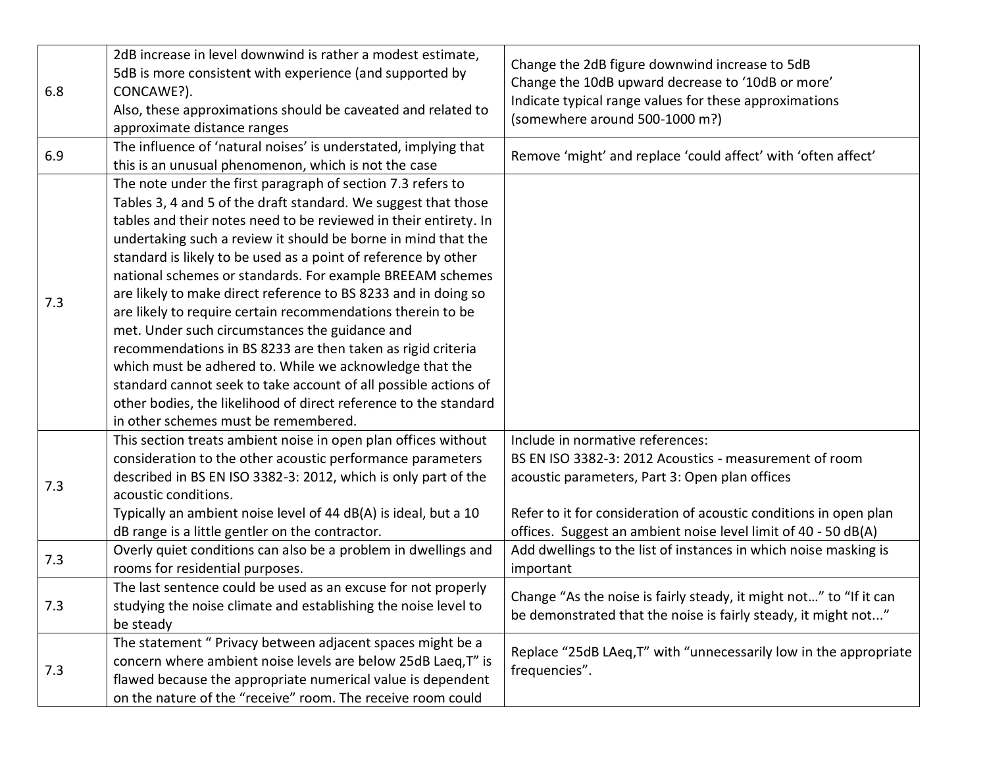| 6.8 | 2dB increase in level downwind is rather a modest estimate,<br>5dB is more consistent with experience (and supported by<br>CONCAWE?).<br>Also, these approximations should be caveated and related to<br>approximate distance ranges                                                                                                                                                                                                                                                                                                                                                                                                                                                                                                                                                                                                                                                          | Change the 2dB figure downwind increase to 5dB<br>Change the 10dB upward decrease to '10dB or more'<br>Indicate typical range values for these approximations<br>(somewhere around 500-1000 m?)                                                                                     |
|-----|-----------------------------------------------------------------------------------------------------------------------------------------------------------------------------------------------------------------------------------------------------------------------------------------------------------------------------------------------------------------------------------------------------------------------------------------------------------------------------------------------------------------------------------------------------------------------------------------------------------------------------------------------------------------------------------------------------------------------------------------------------------------------------------------------------------------------------------------------------------------------------------------------|-------------------------------------------------------------------------------------------------------------------------------------------------------------------------------------------------------------------------------------------------------------------------------------|
| 6.9 | The influence of 'natural noises' is understated, implying that<br>this is an unusual phenomenon, which is not the case                                                                                                                                                                                                                                                                                                                                                                                                                                                                                                                                                                                                                                                                                                                                                                       | Remove 'might' and replace 'could affect' with 'often affect'                                                                                                                                                                                                                       |
| 7.3 | The note under the first paragraph of section 7.3 refers to<br>Tables 3, 4 and 5 of the draft standard. We suggest that those<br>tables and their notes need to be reviewed in their entirety. In<br>undertaking such a review it should be borne in mind that the<br>standard is likely to be used as a point of reference by other<br>national schemes or standards. For example BREEAM schemes<br>are likely to make direct reference to BS 8233 and in doing so<br>are likely to require certain recommendations therein to be<br>met. Under such circumstances the guidance and<br>recommendations in BS 8233 are then taken as rigid criteria<br>which must be adhered to. While we acknowledge that the<br>standard cannot seek to take account of all possible actions of<br>other bodies, the likelihood of direct reference to the standard<br>in other schemes must be remembered. |                                                                                                                                                                                                                                                                                     |
| 7.3 | This section treats ambient noise in open plan offices without<br>consideration to the other acoustic performance parameters<br>described in BS EN ISO 3382-3: 2012, which is only part of the<br>acoustic conditions.<br>Typically an ambient noise level of 44 dB(A) is ideal, but a 10<br>dB range is a little gentler on the contractor.                                                                                                                                                                                                                                                                                                                                                                                                                                                                                                                                                  | Include in normative references:<br>BS EN ISO 3382-3: 2012 Acoustics - measurement of room<br>acoustic parameters, Part 3: Open plan offices<br>Refer to it for consideration of acoustic conditions in open plan<br>offices. Suggest an ambient noise level limit of 40 - 50 dB(A) |
| 7.3 | Overly quiet conditions can also be a problem in dwellings and<br>rooms for residential purposes.                                                                                                                                                                                                                                                                                                                                                                                                                                                                                                                                                                                                                                                                                                                                                                                             | Add dwellings to the list of instances in which noise masking is<br>important                                                                                                                                                                                                       |
| 7.3 | The last sentence could be used as an excuse for not properly<br>studying the noise climate and establishing the noise level to<br>be steady                                                                                                                                                                                                                                                                                                                                                                                                                                                                                                                                                                                                                                                                                                                                                  | Change "As the noise is fairly steady, it might not" to "If it can<br>be demonstrated that the noise is fairly steady, it might not"                                                                                                                                                |
| 7.3 | The statement " Privacy between adjacent spaces might be a<br>concern where ambient noise levels are below 25dB Laeq, T" is<br>flawed because the appropriate numerical value is dependent<br>on the nature of the "receive" room. The receive room could                                                                                                                                                                                                                                                                                                                                                                                                                                                                                                                                                                                                                                     | Replace "25dB LAeq, T" with "unnecessarily low in the appropriate<br>frequencies".                                                                                                                                                                                                  |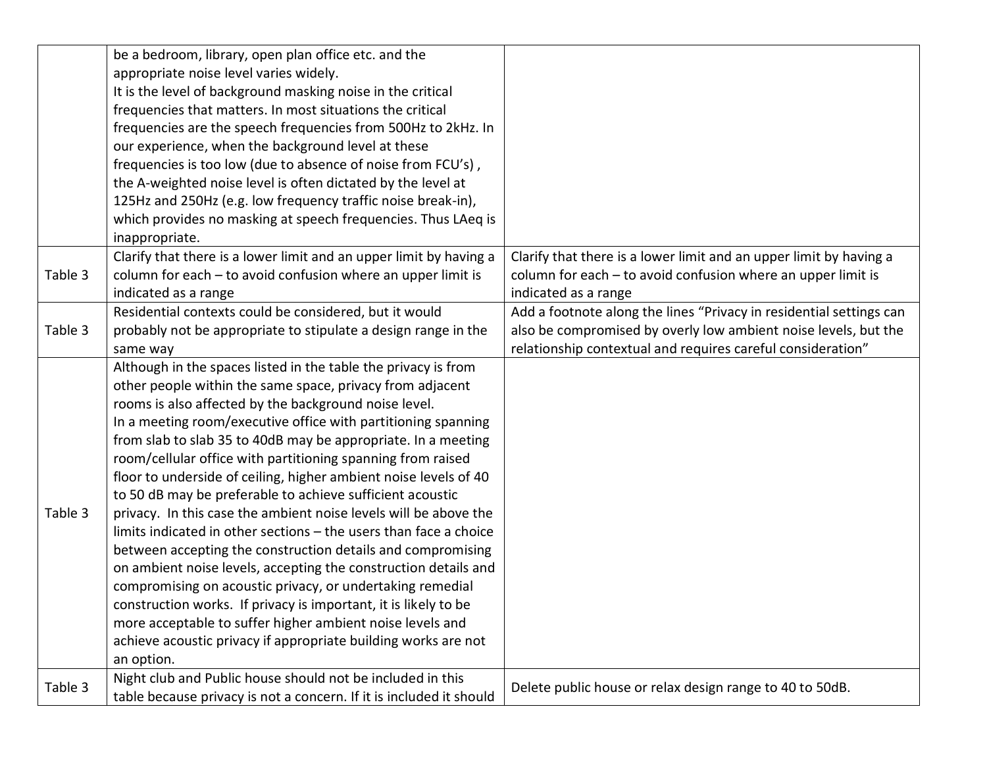|         | be a bedroom, library, open plan office etc. and the                |                                                                     |
|---------|---------------------------------------------------------------------|---------------------------------------------------------------------|
|         | appropriate noise level varies widely.                              |                                                                     |
|         | It is the level of background masking noise in the critical         |                                                                     |
|         | frequencies that matters. In most situations the critical           |                                                                     |
|         | frequencies are the speech frequencies from 500Hz to 2kHz. In       |                                                                     |
|         | our experience, when the background level at these                  |                                                                     |
|         | frequencies is too low (due to absence of noise from FCU's),        |                                                                     |
|         | the A-weighted noise level is often dictated by the level at        |                                                                     |
|         | 125Hz and 250Hz (e.g. low frequency traffic noise break-in),        |                                                                     |
|         | which provides no masking at speech frequencies. Thus LAeq is       |                                                                     |
|         | inappropriate.                                                      |                                                                     |
|         | Clarify that there is a lower limit and an upper limit by having a  | Clarify that there is a lower limit and an upper limit by having a  |
| Table 3 | column for each - to avoid confusion where an upper limit is        | column for each - to avoid confusion where an upper limit is        |
|         | indicated as a range                                                | indicated as a range                                                |
|         | Residential contexts could be considered, but it would              | Add a footnote along the lines "Privacy in residential settings can |
| Table 3 | probably not be appropriate to stipulate a design range in the      | also be compromised by overly low ambient noise levels, but the     |
|         | same way                                                            | relationship contextual and requires careful consideration"         |
|         | Although in the spaces listed in the table the privacy is from      |                                                                     |
|         | other people within the same space, privacy from adjacent           |                                                                     |
|         | rooms is also affected by the background noise level.               |                                                                     |
|         | In a meeting room/executive office with partitioning spanning       |                                                                     |
|         | from slab to slab 35 to 40dB may be appropriate. In a meeting       |                                                                     |
|         | room/cellular office with partitioning spanning from raised         |                                                                     |
|         | floor to underside of ceiling, higher ambient noise levels of 40    |                                                                     |
|         | to 50 dB may be preferable to achieve sufficient acoustic           |                                                                     |
| Table 3 | privacy. In this case the ambient noise levels will be above the    |                                                                     |
|         | limits indicated in other sections - the users than face a choice   |                                                                     |
|         | between accepting the construction details and compromising         |                                                                     |
|         | on ambient noise levels, accepting the construction details and     |                                                                     |
|         | compromising on acoustic privacy, or undertaking remedial           |                                                                     |
|         | construction works. If privacy is important, it is likely to be     |                                                                     |
|         | more acceptable to suffer higher ambient noise levels and           |                                                                     |
|         | achieve acoustic privacy if appropriate building works are not      |                                                                     |
|         | an option.                                                          |                                                                     |
| Table 3 | Night club and Public house should not be included in this          | Delete public house or relax design range to 40 to 50dB.            |
|         | table because privacy is not a concern. If it is included it should |                                                                     |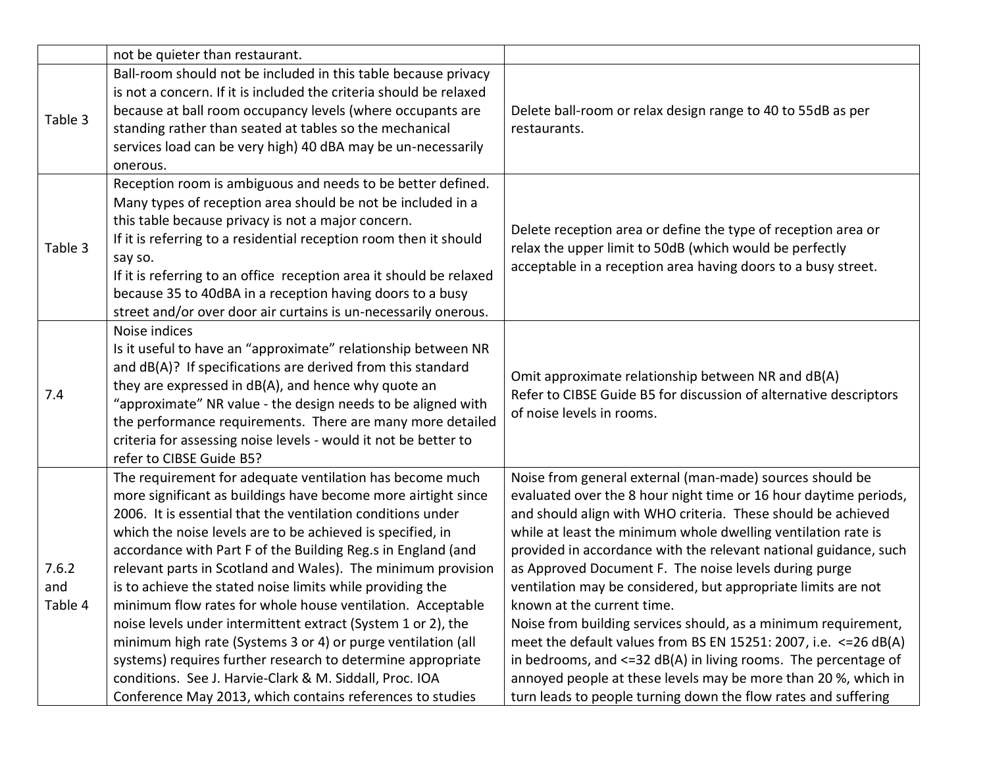|                         | not be quieter than restaurant.                                                                                                                                                                                                                                                                                                                                                                                                                                                                                                                                                                                                                                                                                                                                                                                                          |                                                                                                                                                                                                                                                                                                                                                                                                                                                                                                                                                                                                                                                                                                                                                                                                                                                 |
|-------------------------|------------------------------------------------------------------------------------------------------------------------------------------------------------------------------------------------------------------------------------------------------------------------------------------------------------------------------------------------------------------------------------------------------------------------------------------------------------------------------------------------------------------------------------------------------------------------------------------------------------------------------------------------------------------------------------------------------------------------------------------------------------------------------------------------------------------------------------------|-------------------------------------------------------------------------------------------------------------------------------------------------------------------------------------------------------------------------------------------------------------------------------------------------------------------------------------------------------------------------------------------------------------------------------------------------------------------------------------------------------------------------------------------------------------------------------------------------------------------------------------------------------------------------------------------------------------------------------------------------------------------------------------------------------------------------------------------------|
| Table 3                 | Ball-room should not be included in this table because privacy<br>is not a concern. If it is included the criteria should be relaxed<br>because at ball room occupancy levels (where occupants are<br>standing rather than seated at tables so the mechanical<br>services load can be very high) 40 dBA may be un-necessarily<br>onerous.                                                                                                                                                                                                                                                                                                                                                                                                                                                                                                | Delete ball-room or relax design range to 40 to 55dB as per<br>restaurants.                                                                                                                                                                                                                                                                                                                                                                                                                                                                                                                                                                                                                                                                                                                                                                     |
| Table 3                 | Reception room is ambiguous and needs to be better defined.<br>Many types of reception area should be not be included in a<br>this table because privacy is not a major concern.<br>If it is referring to a residential reception room then it should<br>say so.<br>If it is referring to an office reception area it should be relaxed<br>because 35 to 40dBA in a reception having doors to a busy<br>street and/or over door air curtains is un-necessarily onerous.                                                                                                                                                                                                                                                                                                                                                                  | Delete reception area or define the type of reception area or<br>relax the upper limit to 50dB (which would be perfectly<br>acceptable in a reception area having doors to a busy street.                                                                                                                                                                                                                                                                                                                                                                                                                                                                                                                                                                                                                                                       |
| 7.4                     | Noise indices<br>Is it useful to have an "approximate" relationship between NR<br>and dB(A)? If specifications are derived from this standard<br>they are expressed in dB(A), and hence why quote an<br>"approximate" NR value - the design needs to be aligned with<br>the performance requirements. There are many more detailed<br>criteria for assessing noise levels - would it not be better to<br>refer to CIBSE Guide B5?                                                                                                                                                                                                                                                                                                                                                                                                        | Omit approximate relationship between NR and dB(A)<br>Refer to CIBSE Guide B5 for discussion of alternative descriptors<br>of noise levels in rooms.                                                                                                                                                                                                                                                                                                                                                                                                                                                                                                                                                                                                                                                                                            |
| 7.6.2<br>and<br>Table 4 | The requirement for adequate ventilation has become much<br>more significant as buildings have become more airtight since<br>2006. It is essential that the ventilation conditions under<br>which the noise levels are to be achieved is specified, in<br>accordance with Part F of the Building Reg.s in England (and<br>relevant parts in Scotland and Wales). The minimum provision<br>is to achieve the stated noise limits while providing the<br>minimum flow rates for whole house ventilation. Acceptable<br>noise levels under intermittent extract (System 1 or 2), the<br>minimum high rate (Systems 3 or 4) or purge ventilation (all<br>systems) requires further research to determine appropriate<br>conditions. See J. Harvie-Clark & M. Siddall, Proc. IOA<br>Conference May 2013, which contains references to studies | Noise from general external (man-made) sources should be<br>evaluated over the 8 hour night time or 16 hour daytime periods,<br>and should align with WHO criteria. These should be achieved<br>while at least the minimum whole dwelling ventilation rate is<br>provided in accordance with the relevant national guidance, such<br>as Approved Document F. The noise levels during purge<br>ventilation may be considered, but appropriate limits are not<br>known at the current time.<br>Noise from building services should, as a minimum requirement,<br>meet the default values from BS EN 15251: 2007, i.e. $\leq$ 26 dB(A)<br>in bedrooms, and $\leq$ =32 dB(A) in living rooms. The percentage of<br>annoyed people at these levels may be more than 20 %, which in<br>turn leads to people turning down the flow rates and suffering |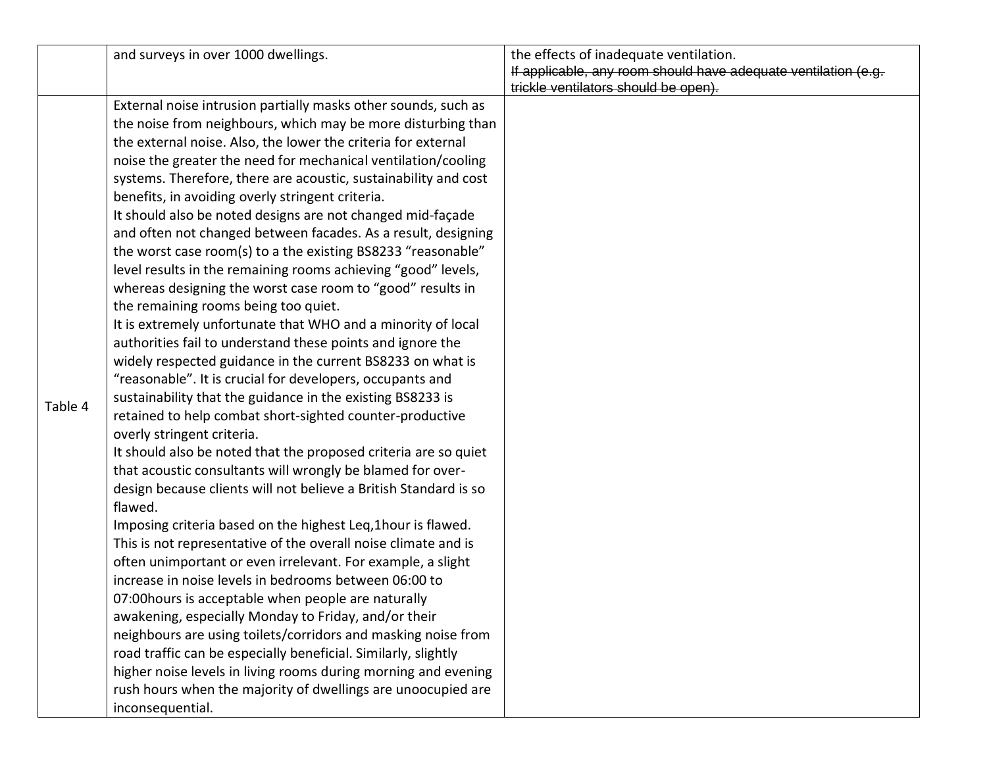|         | and surveys in over 1000 dwellings.                                                                                                                                                                                                                                                                                                                                                                                                                                                                                                                                                                                                                                                                                                                                                                                                                                                                                                                                                                                                                                                                                                                                                                                                                                                                                                                                                                                                                                                                                                                                                                                                                                                                                                                                                                                                                                                                                                                                                                                                                               | the effects of inadequate ventilation.<br>If applicable, any room should have adequate ventilation (e.g.<br>trickle ventilators should be open). |
|---------|-------------------------------------------------------------------------------------------------------------------------------------------------------------------------------------------------------------------------------------------------------------------------------------------------------------------------------------------------------------------------------------------------------------------------------------------------------------------------------------------------------------------------------------------------------------------------------------------------------------------------------------------------------------------------------------------------------------------------------------------------------------------------------------------------------------------------------------------------------------------------------------------------------------------------------------------------------------------------------------------------------------------------------------------------------------------------------------------------------------------------------------------------------------------------------------------------------------------------------------------------------------------------------------------------------------------------------------------------------------------------------------------------------------------------------------------------------------------------------------------------------------------------------------------------------------------------------------------------------------------------------------------------------------------------------------------------------------------------------------------------------------------------------------------------------------------------------------------------------------------------------------------------------------------------------------------------------------------------------------------------------------------------------------------------------------------|--------------------------------------------------------------------------------------------------------------------------------------------------|
| Table 4 | External noise intrusion partially masks other sounds, such as<br>the noise from neighbours, which may be more disturbing than<br>the external noise. Also, the lower the criteria for external<br>noise the greater the need for mechanical ventilation/cooling<br>systems. Therefore, there are acoustic, sustainability and cost<br>benefits, in avoiding overly stringent criteria.<br>It should also be noted designs are not changed mid-façade<br>and often not changed between facades. As a result, designing<br>the worst case room(s) to a the existing BS8233 "reasonable"<br>level results in the remaining rooms achieving "good" levels,<br>whereas designing the worst case room to "good" results in<br>the remaining rooms being too quiet.<br>It is extremely unfortunate that WHO and a minority of local<br>authorities fail to understand these points and ignore the<br>widely respected guidance in the current BS8233 on what is<br>"reasonable". It is crucial for developers, occupants and<br>sustainability that the guidance in the existing BS8233 is<br>retained to help combat short-sighted counter-productive<br>overly stringent criteria.<br>It should also be noted that the proposed criteria are so quiet<br>that acoustic consultants will wrongly be blamed for over-<br>design because clients will not believe a British Standard is so<br>flawed.<br>Imposing criteria based on the highest Leq, 1 hour is flawed.<br>This is not representative of the overall noise climate and is<br>often unimportant or even irrelevant. For example, a slight<br>increase in noise levels in bedrooms between 06:00 to<br>07:00 hours is acceptable when people are naturally<br>awakening, especially Monday to Friday, and/or their<br>neighbours are using toilets/corridors and masking noise from<br>road traffic can be especially beneficial. Similarly, slightly<br>higher noise levels in living rooms during morning and evening<br>rush hours when the majority of dwellings are unoocupied are<br>inconsequential. |                                                                                                                                                  |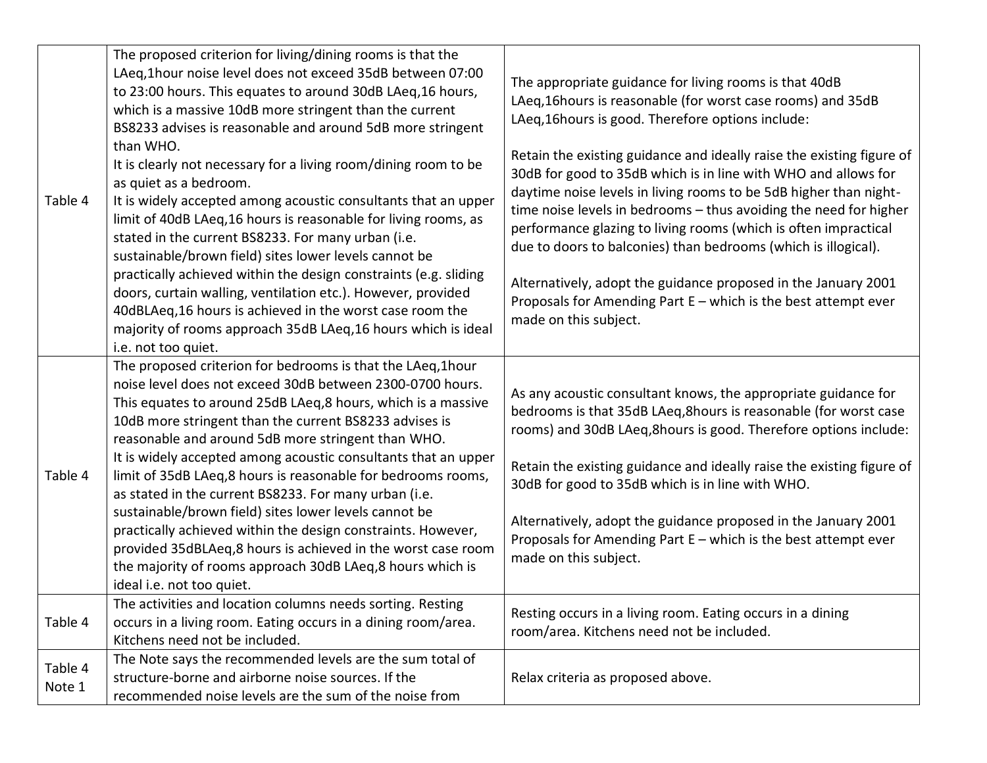| Table 4           | The proposed criterion for living/dining rooms is that the<br>LAeq,1hour noise level does not exceed 35dB between 07:00<br>to 23:00 hours. This equates to around 30dB LAeq, 16 hours,<br>which is a massive 10dB more stringent than the current<br>BS8233 advises is reasonable and around 5dB more stringent<br>than WHO.<br>It is clearly not necessary for a living room/dining room to be<br>as quiet as a bedroom.<br>It is widely accepted among acoustic consultants that an upper<br>limit of 40dB LAeq, 16 hours is reasonable for living rooms, as<br>stated in the current BS8233. For many urban (i.e.<br>sustainable/brown field) sites lower levels cannot be<br>practically achieved within the design constraints (e.g. sliding<br>doors, curtain walling, ventilation etc.). However, provided | The appropriate guidance for living rooms is that 40dB<br>LAeq,16hours is reasonable (for worst case rooms) and 35dB<br>LAeg, 16 hours is good. Therefore options include:<br>Retain the existing guidance and ideally raise the existing figure of<br>30dB for good to 35dB which is in line with WHO and allows for<br>daytime noise levels in living rooms to be 5dB higher than night-<br>time noise levels in bedrooms - thus avoiding the need for higher<br>performance glazing to living rooms (which is often impractical<br>due to doors to balconies) than bedrooms (which is illogical).<br>Alternatively, adopt the guidance proposed in the January 2001<br>Proposals for Amending Part E - which is the best attempt ever |
|-------------------|-------------------------------------------------------------------------------------------------------------------------------------------------------------------------------------------------------------------------------------------------------------------------------------------------------------------------------------------------------------------------------------------------------------------------------------------------------------------------------------------------------------------------------------------------------------------------------------------------------------------------------------------------------------------------------------------------------------------------------------------------------------------------------------------------------------------|------------------------------------------------------------------------------------------------------------------------------------------------------------------------------------------------------------------------------------------------------------------------------------------------------------------------------------------------------------------------------------------------------------------------------------------------------------------------------------------------------------------------------------------------------------------------------------------------------------------------------------------------------------------------------------------------------------------------------------------|
|                   | 40dBLAeq,16 hours is achieved in the worst case room the<br>majority of rooms approach 35dB LAeq, 16 hours which is ideal<br>i.e. not too quiet.                                                                                                                                                                                                                                                                                                                                                                                                                                                                                                                                                                                                                                                                  | made on this subject.                                                                                                                                                                                                                                                                                                                                                                                                                                                                                                                                                                                                                                                                                                                    |
| Table 4           | The proposed criterion for bedrooms is that the LAeq, 1hour<br>noise level does not exceed 30dB between 2300-0700 hours.<br>This equates to around 25dB LAeq,8 hours, which is a massive<br>10dB more stringent than the current BS8233 advises is<br>reasonable and around 5dB more stringent than WHO.<br>It is widely accepted among acoustic consultants that an upper<br>limit of 35dB LAeq,8 hours is reasonable for bedrooms rooms,<br>as stated in the current BS8233. For many urban (i.e.<br>sustainable/brown field) sites lower levels cannot be<br>practically achieved within the design constraints. However,<br>provided 35dBLAeq,8 hours is achieved in the worst case room<br>the majority of rooms approach 30dB LAeq,8 hours which is<br>ideal i.e. not too quiet.                            | As any acoustic consultant knows, the appropriate guidance for<br>bedrooms is that 35dB LAeq, 8 hours is reasonable (for worst case<br>rooms) and 30dB LAeq, 8hours is good. Therefore options include:<br>Retain the existing guidance and ideally raise the existing figure of<br>30dB for good to 35dB which is in line with WHO.<br>Alternatively, adopt the guidance proposed in the January 2001<br>Proposals for Amending Part E - which is the best attempt ever<br>made on this subject.                                                                                                                                                                                                                                        |
| Table 4           | The activities and location columns needs sorting. Resting<br>occurs in a living room. Eating occurs in a dining room/area.<br>Kitchens need not be included.                                                                                                                                                                                                                                                                                                                                                                                                                                                                                                                                                                                                                                                     | Resting occurs in a living room. Eating occurs in a dining<br>room/area. Kitchens need not be included.                                                                                                                                                                                                                                                                                                                                                                                                                                                                                                                                                                                                                                  |
| Table 4<br>Note 1 | The Note says the recommended levels are the sum total of<br>structure-borne and airborne noise sources. If the<br>recommended noise levels are the sum of the noise from                                                                                                                                                                                                                                                                                                                                                                                                                                                                                                                                                                                                                                         | Relax criteria as proposed above.                                                                                                                                                                                                                                                                                                                                                                                                                                                                                                                                                                                                                                                                                                        |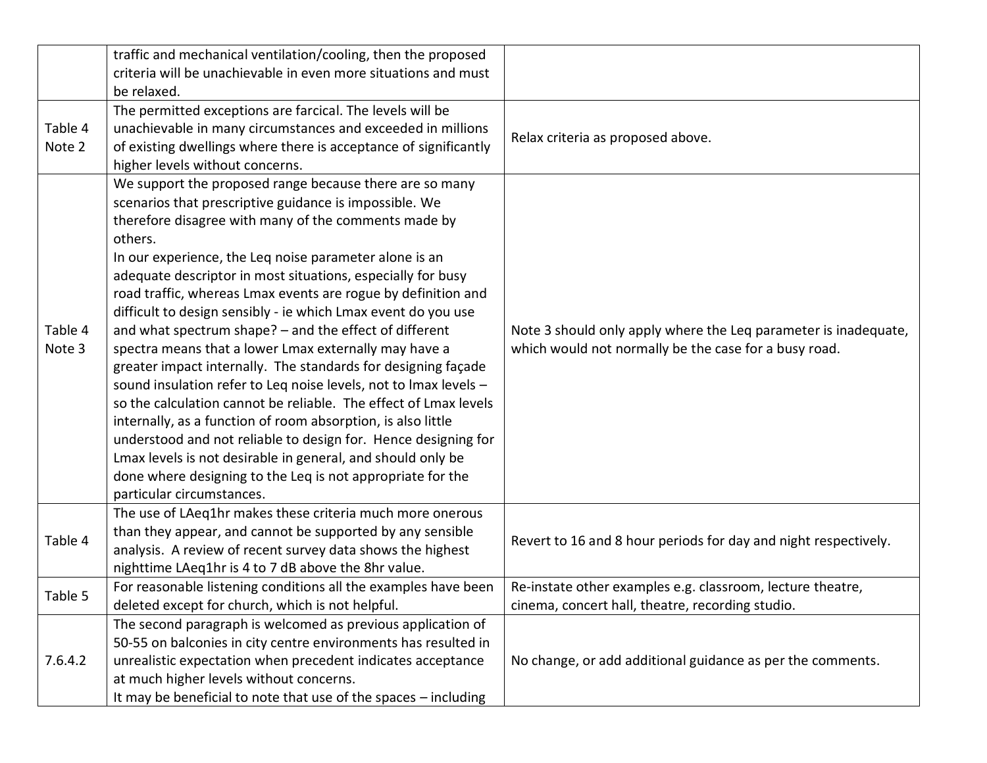|         | traffic and mechanical ventilation/cooling, then the proposed    |                                                                 |
|---------|------------------------------------------------------------------|-----------------------------------------------------------------|
|         | criteria will be unachievable in even more situations and must   |                                                                 |
|         | be relaxed.                                                      |                                                                 |
|         | The permitted exceptions are farcical. The levels will be        |                                                                 |
| Table 4 | unachievable in many circumstances and exceeded in millions      | Relax criteria as proposed above.                               |
| Note 2  | of existing dwellings where there is acceptance of significantly |                                                                 |
|         | higher levels without concerns.                                  |                                                                 |
|         | We support the proposed range because there are so many          |                                                                 |
|         | scenarios that prescriptive guidance is impossible. We           |                                                                 |
|         | therefore disagree with many of the comments made by             |                                                                 |
|         | others.                                                          |                                                                 |
|         | In our experience, the Leq noise parameter alone is an           |                                                                 |
|         | adequate descriptor in most situations, especially for busy      |                                                                 |
|         | road traffic, whereas Lmax events are rogue by definition and    |                                                                 |
|         | difficult to design sensibly - ie which Lmax event do you use    |                                                                 |
| Table 4 | and what spectrum shape? - and the effect of different           | Note 3 should only apply where the Leq parameter is inadequate, |
| Note 3  | spectra means that a lower Lmax externally may have a            | which would not normally be the case for a busy road.           |
|         | greater impact internally. The standards for designing façade    |                                                                 |
|         | sound insulation refer to Leq noise levels, not to Imax levels - |                                                                 |
|         | so the calculation cannot be reliable. The effect of Lmax levels |                                                                 |
|         | internally, as a function of room absorption, is also little     |                                                                 |
|         | understood and not reliable to design for. Hence designing for   |                                                                 |
|         | Lmax levels is not desirable in general, and should only be      |                                                                 |
|         | done where designing to the Leq is not appropriate for the       |                                                                 |
|         | particular circumstances.                                        |                                                                 |
|         | The use of LAeq1hr makes these criteria much more onerous        |                                                                 |
| Table 4 | than they appear, and cannot be supported by any sensible        |                                                                 |
|         | analysis. A review of recent survey data shows the highest       | Revert to 16 and 8 hour periods for day and night respectively. |
|         | nighttime LAeq1hr is 4 to 7 dB above the 8hr value.              |                                                                 |
| Table 5 | For reasonable listening conditions all the examples have been   | Re-instate other examples e.g. classroom, lecture theatre,      |
|         | deleted except for church, which is not helpful.                 | cinema, concert hall, theatre, recording studio.                |
|         | The second paragraph is welcomed as previous application of      |                                                                 |
|         | 50-55 on balconies in city centre environments has resulted in   |                                                                 |
| 7.6.4.2 | unrealistic expectation when precedent indicates acceptance      | No change, or add additional guidance as per the comments.      |
|         | at much higher levels without concerns.                          |                                                                 |
|         | It may be beneficial to note that use of the spaces - including  |                                                                 |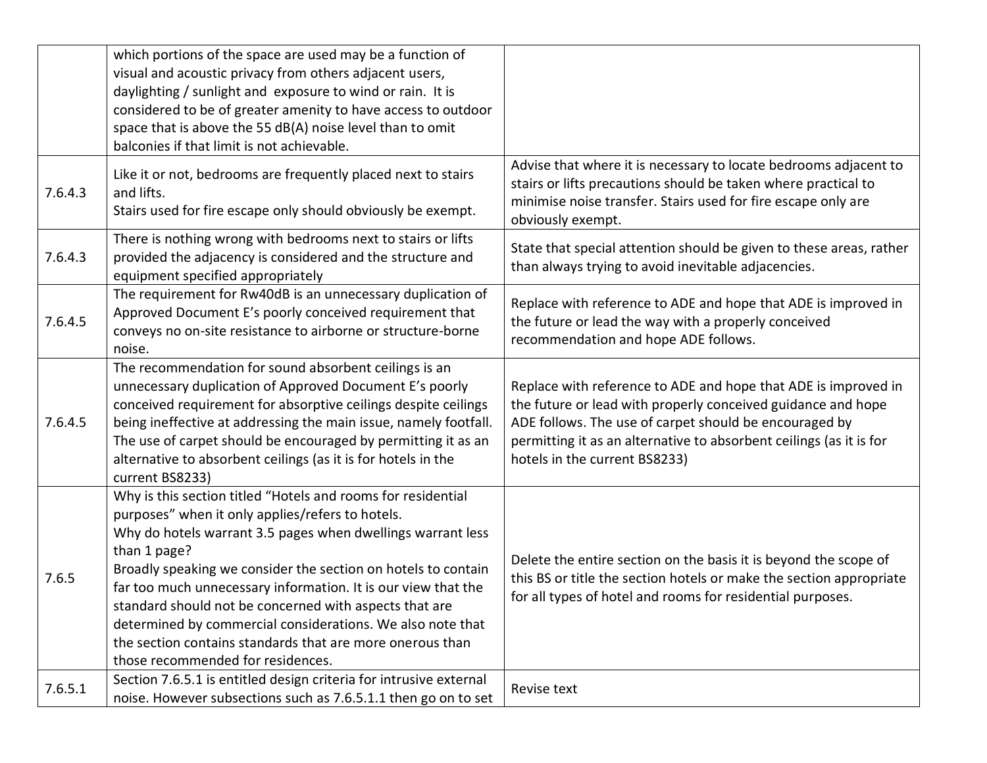|         | which portions of the space are used may be a function of          |                                                                                    |
|---------|--------------------------------------------------------------------|------------------------------------------------------------------------------------|
|         | visual and acoustic privacy from others adjacent users,            |                                                                                    |
|         | daylighting / sunlight and exposure to wind or rain. It is         |                                                                                    |
|         | considered to be of greater amenity to have access to outdoor      |                                                                                    |
|         | space that is above the 55 dB(A) noise level than to omit          |                                                                                    |
|         | balconies if that limit is not achievable.                         |                                                                                    |
|         | Like it or not, bedrooms are frequently placed next to stairs      | Advise that where it is necessary to locate bedrooms adjacent to                   |
| 7.6.4.3 | and lifts.                                                         | stairs or lifts precautions should be taken where practical to                     |
|         | Stairs used for fire escape only should obviously be exempt.       | minimise noise transfer. Stairs used for fire escape only are<br>obviously exempt. |
|         | There is nothing wrong with bedrooms next to stairs or lifts       |                                                                                    |
| 7.6.4.3 | provided the adjacency is considered and the structure and         | State that special attention should be given to these areas, rather                |
|         | equipment specified appropriately                                  | than always trying to avoid inevitable adjacencies.                                |
|         | The requirement for Rw40dB is an unnecessary duplication of        |                                                                                    |
|         | Approved Document E's poorly conceived requirement that            | Replace with reference to ADE and hope that ADE is improved in                     |
| 7.6.4.5 | conveys no on-site resistance to airborne or structure-borne       | the future or lead the way with a properly conceived                               |
|         | noise.                                                             | recommendation and hope ADE follows.                                               |
|         | The recommendation for sound absorbent ceilings is an              |                                                                                    |
|         | unnecessary duplication of Approved Document E's poorly            | Replace with reference to ADE and hope that ADE is improved in                     |
|         | conceived requirement for absorptive ceilings despite ceilings     | the future or lead with properly conceived guidance and hope                       |
| 7.6.4.5 | being ineffective at addressing the main issue, namely footfall.   | ADE follows. The use of carpet should be encouraged by                             |
|         | The use of carpet should be encouraged by permitting it as an      | permitting it as an alternative to absorbent ceilings (as it is for                |
|         | alternative to absorbent ceilings (as it is for hotels in the      | hotels in the current BS8233)                                                      |
|         | current BS8233)                                                    |                                                                                    |
|         | Why is this section titled "Hotels and rooms for residential       |                                                                                    |
|         | purposes" when it only applies/refers to hotels.                   |                                                                                    |
|         | Why do hotels warrant 3.5 pages when dwellings warrant less        |                                                                                    |
|         | than 1 page?                                                       | Delete the entire section on the basis it is beyond the scope of                   |
| 7.6.5   | Broadly speaking we consider the section on hotels to contain      | this BS or title the section hotels or make the section appropriate                |
|         | far too much unnecessary information. It is our view that the      | for all types of hotel and rooms for residential purposes.                         |
|         | standard should not be concerned with aspects that are             |                                                                                    |
|         | determined by commercial considerations. We also note that         |                                                                                    |
|         | the section contains standards that are more onerous than          |                                                                                    |
|         | those recommended for residences.                                  |                                                                                    |
| 7.6.5.1 | Section 7.6.5.1 is entitled design criteria for intrusive external | Revise text                                                                        |
|         | noise. However subsections such as 7.6.5.1.1 then go on to set     |                                                                                    |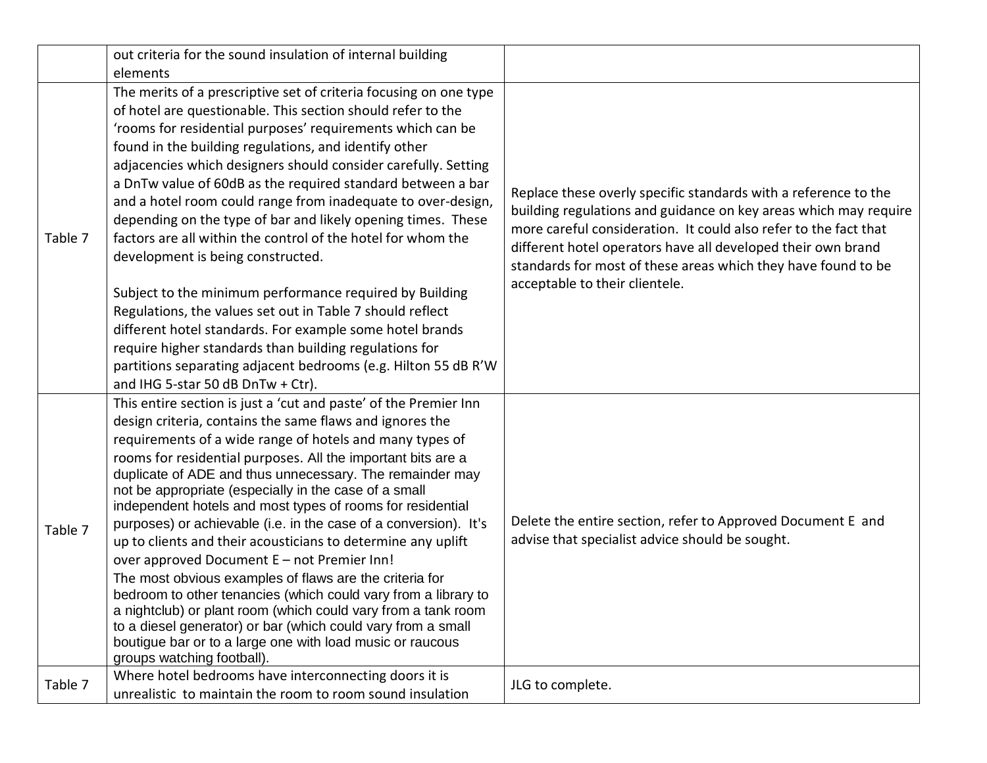|         | out criteria for the sound insulation of internal building                                                                     |                                                                  |
|---------|--------------------------------------------------------------------------------------------------------------------------------|------------------------------------------------------------------|
|         | elements                                                                                                                       |                                                                  |
|         | The merits of a prescriptive set of criteria focusing on one type                                                              |                                                                  |
|         | of hotel are questionable. This section should refer to the                                                                    |                                                                  |
|         | 'rooms for residential purposes' requirements which can be                                                                     |                                                                  |
|         | found in the building regulations, and identify other                                                                          |                                                                  |
|         | adjacencies which designers should consider carefully. Setting                                                                 |                                                                  |
|         | a DnTw value of 60dB as the required standard between a bar                                                                    | Replace these overly specific standards with a reference to the  |
|         | and a hotel room could range from inadequate to over-design,                                                                   | building regulations and guidance on key areas which may require |
|         | depending on the type of bar and likely opening times. These                                                                   | more careful consideration. It could also refer to the fact that |
| Table 7 | factors are all within the control of the hotel for whom the                                                                   | different hotel operators have all developed their own brand     |
|         | development is being constructed.                                                                                              | standards for most of these areas which they have found to be    |
|         |                                                                                                                                | acceptable to their clientele.                                   |
|         | Subject to the minimum performance required by Building                                                                        |                                                                  |
|         | Regulations, the values set out in Table 7 should reflect                                                                      |                                                                  |
|         | different hotel standards. For example some hotel brands                                                                       |                                                                  |
|         | require higher standards than building regulations for                                                                         |                                                                  |
|         | partitions separating adjacent bedrooms (e.g. Hilton 55 dB R'W                                                                 |                                                                  |
|         | and IHG 5-star 50 dB DnTw + Ctr).                                                                                              |                                                                  |
|         | This entire section is just a 'cut and paste' of the Premier Inn                                                               |                                                                  |
|         | design criteria, contains the same flaws and ignores the                                                                       |                                                                  |
|         | requirements of a wide range of hotels and many types of                                                                       |                                                                  |
|         | rooms for residential purposes. All the important bits are a                                                                   |                                                                  |
|         | duplicate of ADE and thus unnecessary. The remainder may                                                                       |                                                                  |
|         | not be appropriate (especially in the case of a small                                                                          |                                                                  |
|         | independent hotels and most types of rooms for residential<br>purposes) or achievable (i.e. in the case of a conversion). It's | Delete the entire section, refer to Approved Document E and      |
| Table 7 | up to clients and their acousticians to determine any uplift                                                                   | advise that specialist advice should be sought.                  |
|         | over approved Document E - not Premier Inn!                                                                                    |                                                                  |
|         | The most obvious examples of flaws are the criteria for                                                                        |                                                                  |
|         | bedroom to other tenancies (which could vary from a library to                                                                 |                                                                  |
|         | a nightclub) or plant room (which could vary from a tank room                                                                  |                                                                  |
|         | to a diesel generator) or bar (which could vary from a small                                                                   |                                                                  |
|         | boutigue bar or to a large one with load music or raucous                                                                      |                                                                  |
|         | groups watching football).                                                                                                     |                                                                  |
| Table 7 | Where hotel bedrooms have interconnecting doors it is                                                                          | JLG to complete.                                                 |
|         | unrealistic to maintain the room to room sound insulation                                                                      |                                                                  |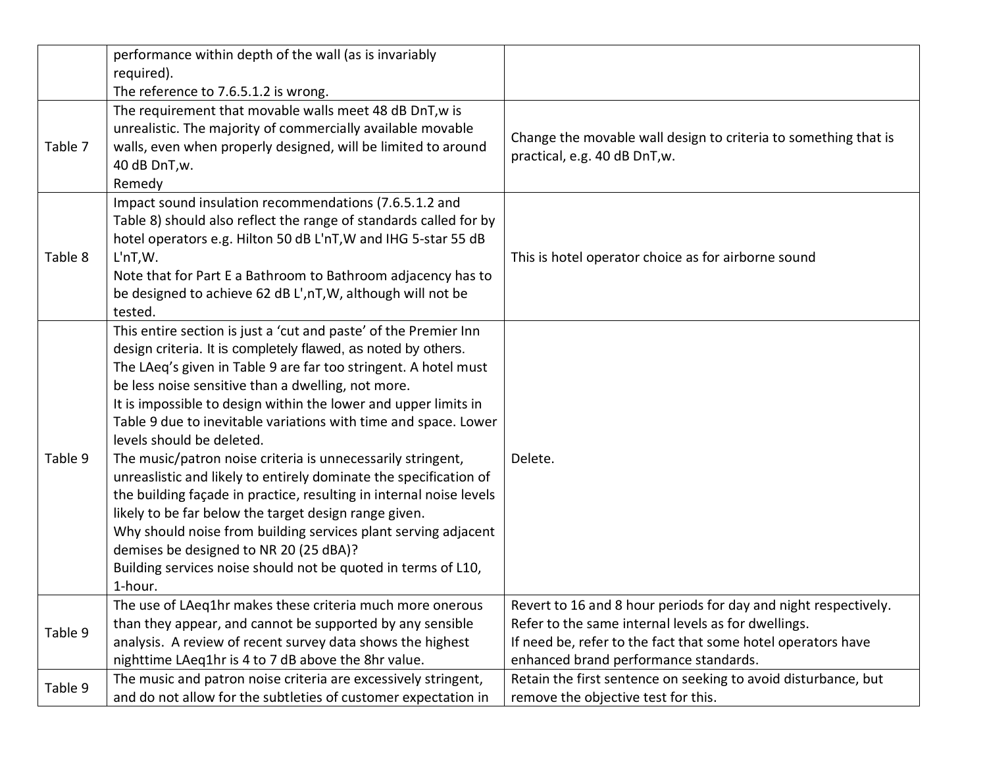|         | performance within depth of the wall (as is invariably              |                                                                 |
|---------|---------------------------------------------------------------------|-----------------------------------------------------------------|
|         | required).                                                          |                                                                 |
|         | The reference to 7.6.5.1.2 is wrong.                                |                                                                 |
|         | The requirement that movable walls meet 48 dB DnT, w is             |                                                                 |
|         | unrealistic. The majority of commercially available movable         | Change the movable wall design to criteria to something that is |
| Table 7 | walls, even when properly designed, will be limited to around       | practical, e.g. 40 dB DnT, w.                                   |
|         | 40 dB DnT, w.                                                       |                                                                 |
|         | Remedy                                                              |                                                                 |
|         | Impact sound insulation recommendations (7.6.5.1.2 and              |                                                                 |
|         | Table 8) should also reflect the range of standards called for by   |                                                                 |
|         | hotel operators e.g. Hilton 50 dB L'nT, W and IHG 5-star 55 dB      |                                                                 |
| Table 8 | L <sup>'n</sup> T,W.                                                | This is hotel operator choice as for airborne sound             |
|         | Note that for Part E a Bathroom to Bathroom adjacency has to        |                                                                 |
|         | be designed to achieve 62 dB L', nT, W, although will not be        |                                                                 |
|         | tested.                                                             |                                                                 |
|         | This entire section is just a 'cut and paste' of the Premier Inn    |                                                                 |
|         | design criteria. It is completely flawed, as noted by others.       |                                                                 |
|         | The LAeq's given in Table 9 are far too stringent. A hotel must     |                                                                 |
|         | be less noise sensitive than a dwelling, not more.                  |                                                                 |
|         | It is impossible to design within the lower and upper limits in     |                                                                 |
|         | Table 9 due to inevitable variations with time and space. Lower     |                                                                 |
|         | levels should be deleted.                                           |                                                                 |
| Table 9 | The music/patron noise criteria is unnecessarily stringent,         | Delete.                                                         |
|         | unreaslistic and likely to entirely dominate the specification of   |                                                                 |
|         | the building façade in practice, resulting in internal noise levels |                                                                 |
|         | likely to be far below the target design range given.               |                                                                 |
|         | Why should noise from building services plant serving adjacent      |                                                                 |
|         | demises be designed to NR 20 (25 dBA)?                              |                                                                 |
|         | Building services noise should not be quoted in terms of L10,       |                                                                 |
|         | 1-hour.                                                             |                                                                 |
|         | The use of LAeq1hr makes these criteria much more onerous           | Revert to 16 and 8 hour periods for day and night respectively. |
| Table 9 | than they appear, and cannot be supported by any sensible           | Refer to the same internal levels as for dwellings.             |
|         | analysis. A review of recent survey data shows the highest          | If need be, refer to the fact that some hotel operators have    |
|         | nighttime LAeq1hr is 4 to 7 dB above the 8hr value.                 | enhanced brand performance standards.                           |
| Table 9 | The music and patron noise criteria are excessively stringent,      | Retain the first sentence on seeking to avoid disturbance, but  |
|         | and do not allow for the subtleties of customer expectation in      | remove the objective test for this.                             |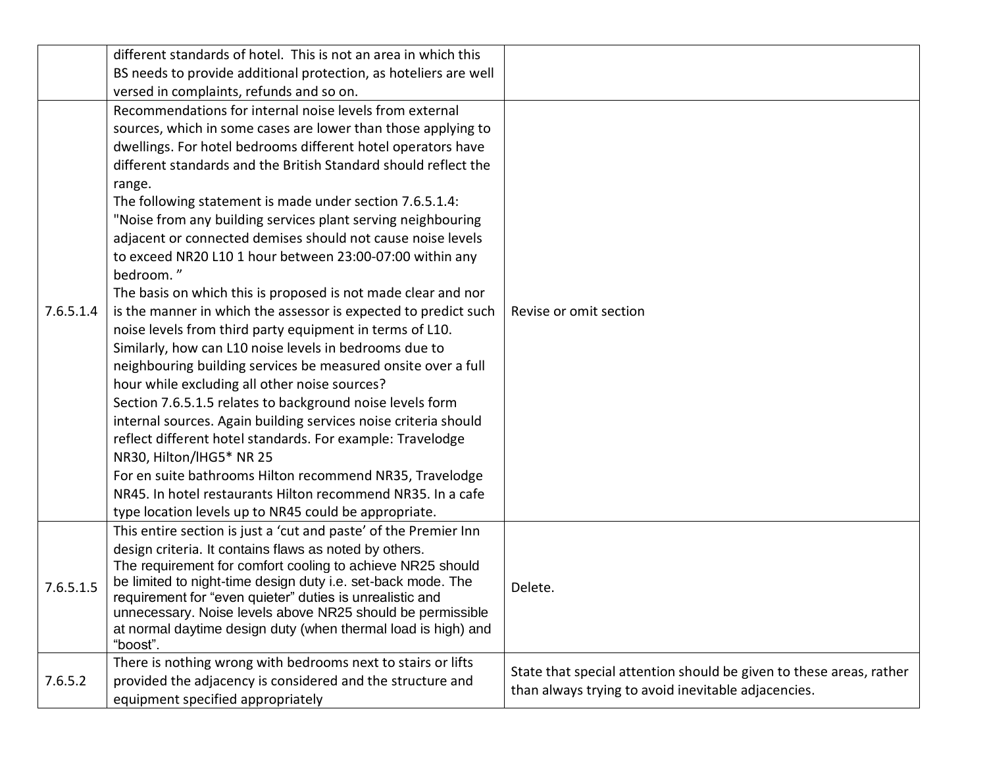|           | different standards of hotel. This is not an area in which this<br>BS needs to provide additional protection, as hoteliers are well<br>versed in complaints, refunds and so on.                                                                                                                                                                                                                                                                                                                                                                                                                                                                                                                                                                                                                                                                                                                                                                                                                                                                                                                                                                                                                                                                                                                                                     |                                                                                                                            |
|-----------|-------------------------------------------------------------------------------------------------------------------------------------------------------------------------------------------------------------------------------------------------------------------------------------------------------------------------------------------------------------------------------------------------------------------------------------------------------------------------------------------------------------------------------------------------------------------------------------------------------------------------------------------------------------------------------------------------------------------------------------------------------------------------------------------------------------------------------------------------------------------------------------------------------------------------------------------------------------------------------------------------------------------------------------------------------------------------------------------------------------------------------------------------------------------------------------------------------------------------------------------------------------------------------------------------------------------------------------|----------------------------------------------------------------------------------------------------------------------------|
| 7.6.5.1.4 | Recommendations for internal noise levels from external<br>sources, which in some cases are lower than those applying to<br>dwellings. For hotel bedrooms different hotel operators have<br>different standards and the British Standard should reflect the<br>range.<br>The following statement is made under section 7.6.5.1.4:<br>"Noise from any building services plant serving neighbouring<br>adjacent or connected demises should not cause noise levels<br>to exceed NR20 L10 1 hour between 23:00-07:00 within any<br>bedroom."<br>The basis on which this is proposed is not made clear and nor<br>is the manner in which the assessor is expected to predict such<br>noise levels from third party equipment in terms of L10.<br>Similarly, how can L10 noise levels in bedrooms due to<br>neighbouring building services be measured onsite over a full<br>hour while excluding all other noise sources?<br>Section 7.6.5.1.5 relates to background noise levels form<br>internal sources. Again building services noise criteria should<br>reflect different hotel standards. For example: Travelodge<br>NR30, Hilton/IHG5* NR 25<br>For en suite bathrooms Hilton recommend NR35, Travelodge<br>NR45. In hotel restaurants Hilton recommend NR35. In a cafe<br>type location levels up to NR45 could be appropriate. | Revise or omit section                                                                                                     |
| 7.6.5.1.5 | This entire section is just a 'cut and paste' of the Premier Inn<br>design criteria. It contains flaws as noted by others.<br>The requirement for comfort cooling to achieve NR25 should<br>be limited to night-time design duty i.e. set-back mode. The<br>requirement for "even quieter" duties is unrealistic and<br>unnecessary. Noise levels above NR25 should be permissible<br>at normal daytime design duty (when thermal load is high) and<br>"boost".                                                                                                                                                                                                                                                                                                                                                                                                                                                                                                                                                                                                                                                                                                                                                                                                                                                                     | Delete.                                                                                                                    |
| 7.6.5.2   | There is nothing wrong with bedrooms next to stairs or lifts<br>provided the adjacency is considered and the structure and<br>equipment specified appropriately                                                                                                                                                                                                                                                                                                                                                                                                                                                                                                                                                                                                                                                                                                                                                                                                                                                                                                                                                                                                                                                                                                                                                                     | State that special attention should be given to these areas, rather<br>than always trying to avoid inevitable adjacencies. |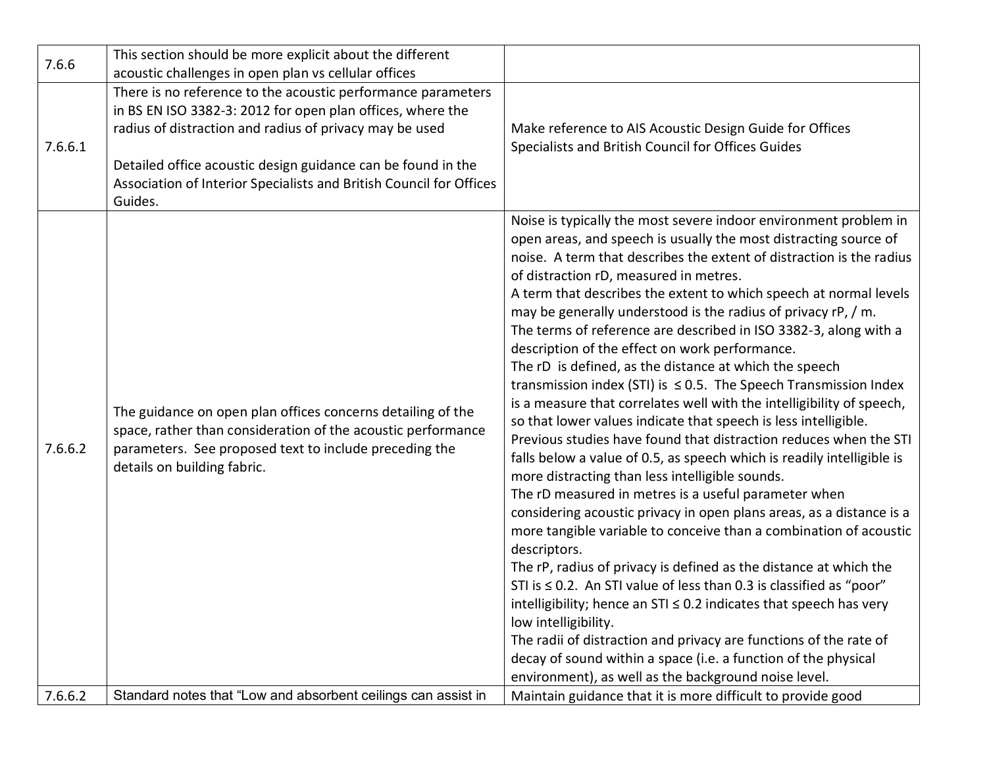| 7.6.6   | This section should be more explicit about the different<br>acoustic challenges in open plan vs cellular offices                                                                                                                                                                                                                        |                                                                                                                                                                                                                                                                                                                                                                                                                                                                                                                                                                                                                                                                                                                                                                                                                                                                                                                                                                                                                                                                                                                                                                                                                                                                                                                                                                                                                                                                                                                                                                                                                                                                             |
|---------|-----------------------------------------------------------------------------------------------------------------------------------------------------------------------------------------------------------------------------------------------------------------------------------------------------------------------------------------|-----------------------------------------------------------------------------------------------------------------------------------------------------------------------------------------------------------------------------------------------------------------------------------------------------------------------------------------------------------------------------------------------------------------------------------------------------------------------------------------------------------------------------------------------------------------------------------------------------------------------------------------------------------------------------------------------------------------------------------------------------------------------------------------------------------------------------------------------------------------------------------------------------------------------------------------------------------------------------------------------------------------------------------------------------------------------------------------------------------------------------------------------------------------------------------------------------------------------------------------------------------------------------------------------------------------------------------------------------------------------------------------------------------------------------------------------------------------------------------------------------------------------------------------------------------------------------------------------------------------------------------------------------------------------------|
| 7.6.6.1 | There is no reference to the acoustic performance parameters<br>in BS EN ISO 3382-3: 2012 for open plan offices, where the<br>radius of distraction and radius of privacy may be used<br>Detailed office acoustic design guidance can be found in the<br>Association of Interior Specialists and British Council for Offices<br>Guides. | Make reference to AIS Acoustic Design Guide for Offices<br>Specialists and British Council for Offices Guides                                                                                                                                                                                                                                                                                                                                                                                                                                                                                                                                                                                                                                                                                                                                                                                                                                                                                                                                                                                                                                                                                                                                                                                                                                                                                                                                                                                                                                                                                                                                                               |
| 7.6.6.2 | The guidance on open plan offices concerns detailing of the<br>space, rather than consideration of the acoustic performance<br>parameters. See proposed text to include preceding the<br>details on building fabric.                                                                                                                    | Noise is typically the most severe indoor environment problem in<br>open areas, and speech is usually the most distracting source of<br>noise. A term that describes the extent of distraction is the radius<br>of distraction rD, measured in metres.<br>A term that describes the extent to which speech at normal levels<br>may be generally understood is the radius of privacy rP, / m.<br>The terms of reference are described in ISO 3382-3, along with a<br>description of the effect on work performance.<br>The rD is defined, as the distance at which the speech<br>transmission index (STI) is $\leq$ 0.5. The Speech Transmission Index<br>is a measure that correlates well with the intelligibility of speech,<br>so that lower values indicate that speech is less intelligible.<br>Previous studies have found that distraction reduces when the STI<br>falls below a value of 0.5, as speech which is readily intelligible is<br>more distracting than less intelligible sounds.<br>The rD measured in metres is a useful parameter when<br>considering acoustic privacy in open plans areas, as a distance is a<br>more tangible variable to conceive than a combination of acoustic<br>descriptors.<br>The rP, radius of privacy is defined as the distance at which the<br>STI is $\leq$ 0.2. An STI value of less than 0.3 is classified as "poor"<br>intelligibility; hence an $STI \leq 0.2$ indicates that speech has very<br>low intelligibility.<br>The radii of distraction and privacy are functions of the rate of<br>decay of sound within a space (i.e. a function of the physical<br>environment), as well as the background noise level. |
| 7.6.6.2 | Standard notes that "Low and absorbent ceilings can assist in                                                                                                                                                                                                                                                                           | Maintain guidance that it is more difficult to provide good                                                                                                                                                                                                                                                                                                                                                                                                                                                                                                                                                                                                                                                                                                                                                                                                                                                                                                                                                                                                                                                                                                                                                                                                                                                                                                                                                                                                                                                                                                                                                                                                                 |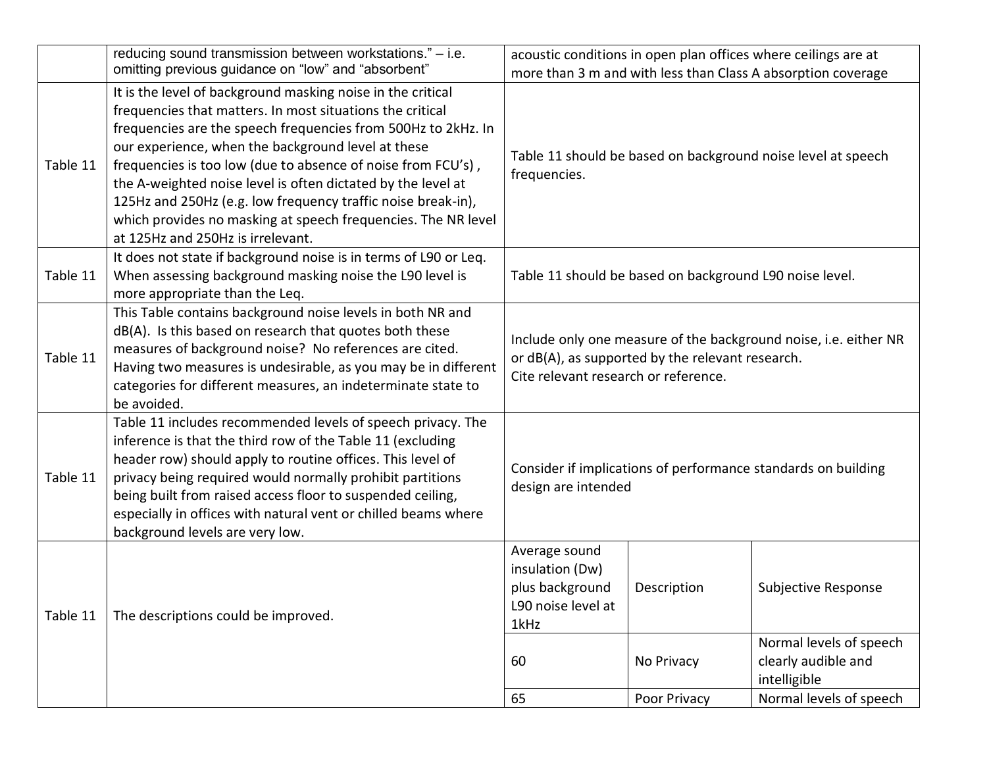|          | reducing sound transmission between workstations." - i.e.                                                                                                                                                                                                                                                                                                                                                                                                                                                                                             |                                                                                   |                                                         | acoustic conditions in open plan offices where ceilings are at   |
|----------|-------------------------------------------------------------------------------------------------------------------------------------------------------------------------------------------------------------------------------------------------------------------------------------------------------------------------------------------------------------------------------------------------------------------------------------------------------------------------------------------------------------------------------------------------------|-----------------------------------------------------------------------------------|---------------------------------------------------------|------------------------------------------------------------------|
|          | omitting previous guidance on "low" and "absorbent"                                                                                                                                                                                                                                                                                                                                                                                                                                                                                                   |                                                                                   |                                                         | more than 3 m and with less than Class A absorption coverage     |
| Table 11 | It is the level of background masking noise in the critical<br>frequencies that matters. In most situations the critical<br>frequencies are the speech frequencies from 500Hz to 2kHz. In<br>our experience, when the background level at these<br>frequencies is too low (due to absence of noise from FCU's),<br>the A-weighted noise level is often dictated by the level at<br>125Hz and 250Hz (e.g. low frequency traffic noise break-in),<br>which provides no masking at speech frequencies. The NR level<br>at 125Hz and 250Hz is irrelevant. | frequencies.                                                                      |                                                         | Table 11 should be based on background noise level at speech     |
| Table 11 | It does not state if background noise is in terms of L90 or Leq.<br>When assessing background masking noise the L90 level is<br>more appropriate than the Leq.                                                                                                                                                                                                                                                                                                                                                                                        |                                                                                   | Table 11 should be based on background L90 noise level. |                                                                  |
| Table 11 | This Table contains background noise levels in both NR and<br>dB(A). Is this based on research that quotes both these<br>measures of background noise? No references are cited.<br>Having two measures is undesirable, as you may be in different<br>categories for different measures, an indeterminate state to<br>be avoided.                                                                                                                                                                                                                      | Cite relevant research or reference.                                              | or dB(A), as supported by the relevant research.        | Include only one measure of the background noise, i.e. either NR |
| Table 11 | Table 11 includes recommended levels of speech privacy. The<br>inference is that the third row of the Table 11 (excluding<br>header row) should apply to routine offices. This level of<br>privacy being required would normally prohibit partitions<br>being built from raised access floor to suspended ceiling,<br>especially in offices with natural vent or chilled beams where<br>background levels are very low.                                                                                                                               | design are intended                                                               |                                                         | Consider if implications of performance standards on building    |
| Table 11 | The descriptions could be improved.                                                                                                                                                                                                                                                                                                                                                                                                                                                                                                                   | Average sound<br>insulation (Dw)<br>plus background<br>L90 noise level at<br>1kHz | Description                                             | Subjective Response                                              |
|          |                                                                                                                                                                                                                                                                                                                                                                                                                                                                                                                                                       | 60                                                                                | No Privacy                                              | Normal levels of speech<br>clearly audible and<br>intelligible   |
|          |                                                                                                                                                                                                                                                                                                                                                                                                                                                                                                                                                       | 65                                                                                | Poor Privacy                                            | Normal levels of speech                                          |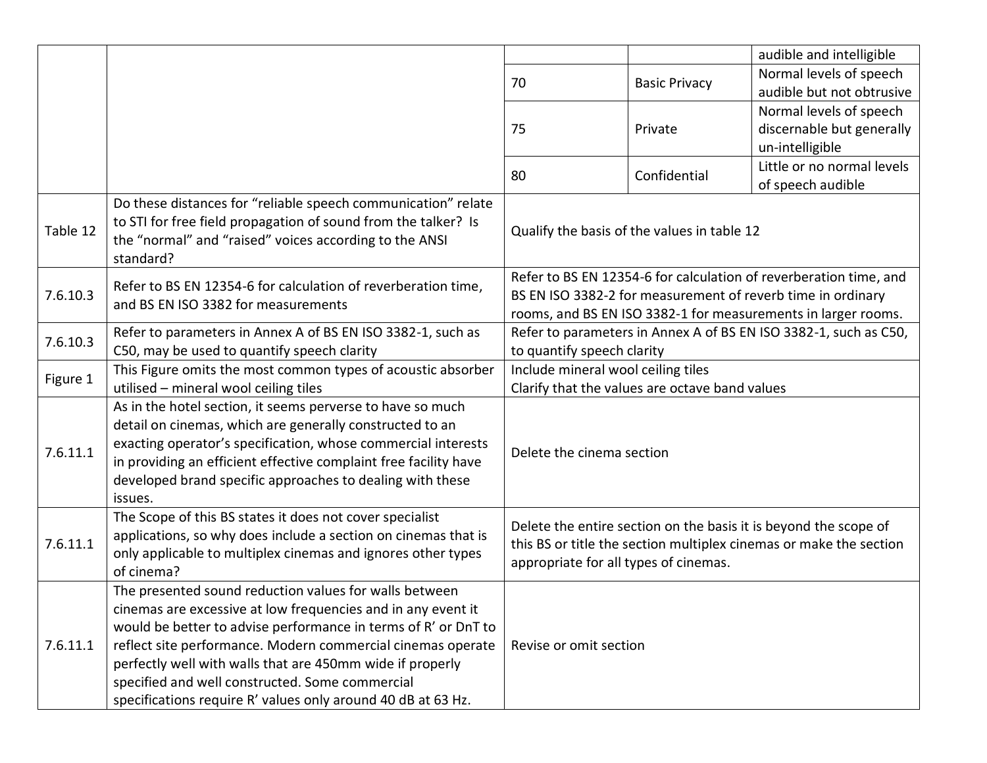|          |                                                                                                                                       |                                                                                                                                                                                 |                                             | audible and intelligible                                          |
|----------|---------------------------------------------------------------------------------------------------------------------------------------|---------------------------------------------------------------------------------------------------------------------------------------------------------------------------------|---------------------------------------------|-------------------------------------------------------------------|
|          |                                                                                                                                       |                                                                                                                                                                                 |                                             | Normal levels of speech                                           |
|          |                                                                                                                                       | 70                                                                                                                                                                              | <b>Basic Privacy</b>                        | audible but not obtrusive                                         |
|          |                                                                                                                                       |                                                                                                                                                                                 |                                             | Normal levels of speech                                           |
|          |                                                                                                                                       | 75                                                                                                                                                                              | Private                                     | discernable but generally                                         |
|          |                                                                                                                                       |                                                                                                                                                                                 |                                             | un-intelligible                                                   |
|          |                                                                                                                                       |                                                                                                                                                                                 |                                             | Little or no normal levels                                        |
|          |                                                                                                                                       | 80                                                                                                                                                                              | Confidential                                | of speech audible                                                 |
|          | Do these distances for "reliable speech communication" relate                                                                         |                                                                                                                                                                                 |                                             |                                                                   |
| Table 12 | to STI for free field propagation of sound from the talker? Is<br>the "normal" and "raised" voices according to the ANSI<br>standard? |                                                                                                                                                                                 | Qualify the basis of the values in table 12 |                                                                   |
|          | Refer to BS EN 12354-6 for calculation of reverberation time,                                                                         |                                                                                                                                                                                 |                                             | Refer to BS EN 12354-6 for calculation of reverberation time, and |
| 7.6.10.3 | and BS EN ISO 3382 for measurements                                                                                                   | BS EN ISO 3382-2 for measurement of reverb time in ordinary                                                                                                                     |                                             |                                                                   |
|          |                                                                                                                                       | rooms, and BS EN ISO 3382-1 for measurements in larger rooms.                                                                                                                   |                                             |                                                                   |
| 7.6.10.3 | Refer to parameters in Annex A of BS EN ISO 3382-1, such as                                                                           |                                                                                                                                                                                 |                                             | Refer to parameters in Annex A of BS EN ISO 3382-1, such as C50,  |
|          | C50, may be used to quantify speech clarity                                                                                           | to quantify speech clarity                                                                                                                                                      |                                             |                                                                   |
| Figure 1 | This Figure omits the most common types of acoustic absorber                                                                          | Include mineral wool ceiling tiles                                                                                                                                              |                                             |                                                                   |
|          | utilised - mineral wool ceiling tiles                                                                                                 | Clarify that the values are octave band values                                                                                                                                  |                                             |                                                                   |
|          | As in the hotel section, it seems perverse to have so much                                                                            |                                                                                                                                                                                 |                                             |                                                                   |
|          | detail on cinemas, which are generally constructed to an                                                                              | Delete the cinema section                                                                                                                                                       |                                             |                                                                   |
| 7.6.11.1 | exacting operator's specification, whose commercial interests                                                                         |                                                                                                                                                                                 |                                             |                                                                   |
|          | in providing an efficient effective complaint free facility have                                                                      |                                                                                                                                                                                 |                                             |                                                                   |
|          | developed brand specific approaches to dealing with these                                                                             |                                                                                                                                                                                 |                                             |                                                                   |
|          | issues.                                                                                                                               |                                                                                                                                                                                 |                                             |                                                                   |
|          | The Scope of this BS states it does not cover specialist                                                                              | Delete the entire section on the basis it is beyond the scope of<br>this BS or title the section multiplex cinemas or make the section<br>appropriate for all types of cinemas. |                                             |                                                                   |
| 7.6.11.1 | applications, so why does include a section on cinemas that is                                                                        |                                                                                                                                                                                 |                                             |                                                                   |
|          | only applicable to multiplex cinemas and ignores other types                                                                          |                                                                                                                                                                                 |                                             |                                                                   |
|          | of cinema?                                                                                                                            |                                                                                                                                                                                 |                                             |                                                                   |
|          | The presented sound reduction values for walls between                                                                                |                                                                                                                                                                                 |                                             |                                                                   |
| 7.6.11.1 | cinemas are excessive at low frequencies and in any event it                                                                          |                                                                                                                                                                                 |                                             |                                                                   |
|          | would be better to advise performance in terms of R' or DnT to                                                                        | Revise or omit section                                                                                                                                                          |                                             |                                                                   |
|          | reflect site performance. Modern commercial cinemas operate                                                                           |                                                                                                                                                                                 |                                             |                                                                   |
|          | perfectly well with walls that are 450mm wide if properly                                                                             |                                                                                                                                                                                 |                                             |                                                                   |
|          | specified and well constructed. Some commercial                                                                                       |                                                                                                                                                                                 |                                             |                                                                   |
|          | specifications require R' values only around 40 dB at 63 Hz.                                                                          |                                                                                                                                                                                 |                                             |                                                                   |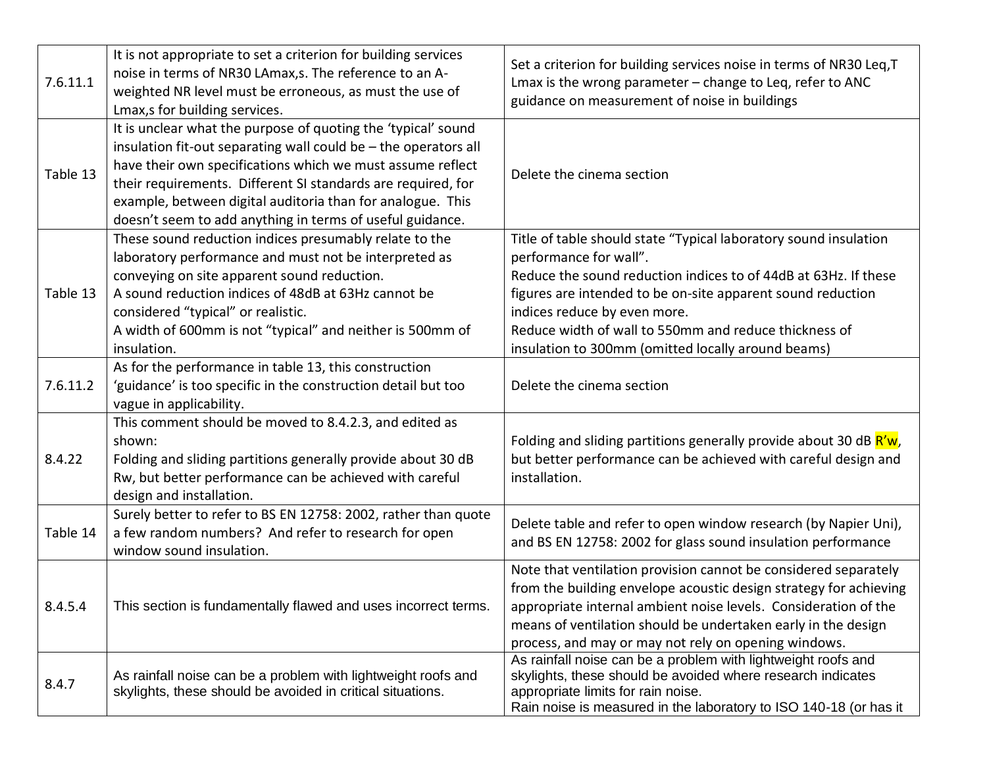| 7.6.11.1 | It is not appropriate to set a criterion for building services<br>noise in terms of NR30 LAmax, s. The reference to an A-<br>weighted NR level must be erroneous, as must the use of<br>Lmax,s for building services.                                                                                                                                                                     | Set a criterion for building services noise in terms of NR30 Leq, T<br>Lmax is the wrong parameter - change to Leq, refer to ANC<br>guidance on measurement of noise in buildings                                                                                                                                                                                           |
|----------|-------------------------------------------------------------------------------------------------------------------------------------------------------------------------------------------------------------------------------------------------------------------------------------------------------------------------------------------------------------------------------------------|-----------------------------------------------------------------------------------------------------------------------------------------------------------------------------------------------------------------------------------------------------------------------------------------------------------------------------------------------------------------------------|
| Table 13 | It is unclear what the purpose of quoting the 'typical' sound<br>insulation fit-out separating wall could be - the operators all<br>have their own specifications which we must assume reflect<br>their requirements. Different SI standards are required, for<br>example, between digital auditoria than for analogue. This<br>doesn't seem to add anything in terms of useful guidance. | Delete the cinema section                                                                                                                                                                                                                                                                                                                                                   |
| Table 13 | These sound reduction indices presumably relate to the<br>laboratory performance and must not be interpreted as<br>conveying on site apparent sound reduction.<br>A sound reduction indices of 48dB at 63Hz cannot be<br>considered "typical" or realistic.<br>A width of 600mm is not "typical" and neither is 500mm of<br>insulation.                                                   | Title of table should state "Typical laboratory sound insulation<br>performance for wall".<br>Reduce the sound reduction indices to of 44dB at 63Hz. If these<br>figures are intended to be on-site apparent sound reduction<br>indices reduce by even more.<br>Reduce width of wall to 550mm and reduce thickness of<br>insulation to 300mm (omitted locally around beams) |
| 7.6.11.2 | As for the performance in table 13, this construction<br>'guidance' is too specific in the construction detail but too<br>vague in applicability.                                                                                                                                                                                                                                         | Delete the cinema section                                                                                                                                                                                                                                                                                                                                                   |
| 8.4.22   | This comment should be moved to 8.4.2.3, and edited as<br>shown:<br>Folding and sliding partitions generally provide about 30 dB<br>Rw, but better performance can be achieved with careful<br>design and installation.                                                                                                                                                                   | Folding and sliding partitions generally provide about 30 dB R'w,<br>but better performance can be achieved with careful design and<br>installation.                                                                                                                                                                                                                        |
| Table 14 | Surely better to refer to BS EN 12758: 2002, rather than quote<br>a few random numbers? And refer to research for open<br>window sound insulation.                                                                                                                                                                                                                                        | Delete table and refer to open window research (by Napier Uni),<br>and BS EN 12758: 2002 for glass sound insulation performance                                                                                                                                                                                                                                             |
| 8.4.5.4  | This section is fundamentally flawed and uses incorrect terms.                                                                                                                                                                                                                                                                                                                            | Note that ventilation provision cannot be considered separately<br>from the building envelope acoustic design strategy for achieving<br>appropriate internal ambient noise levels. Consideration of the<br>means of ventilation should be undertaken early in the design<br>process, and may or may not rely on opening windows.                                            |
| 8.4.7    | As rainfall noise can be a problem with lightweight roofs and<br>skylights, these should be avoided in critical situations.                                                                                                                                                                                                                                                               | As rainfall noise can be a problem with lightweight roofs and<br>skylights, these should be avoided where research indicates<br>appropriate limits for rain noise.<br>Rain noise is measured in the laboratory to ISO 140-18 (or has it                                                                                                                                     |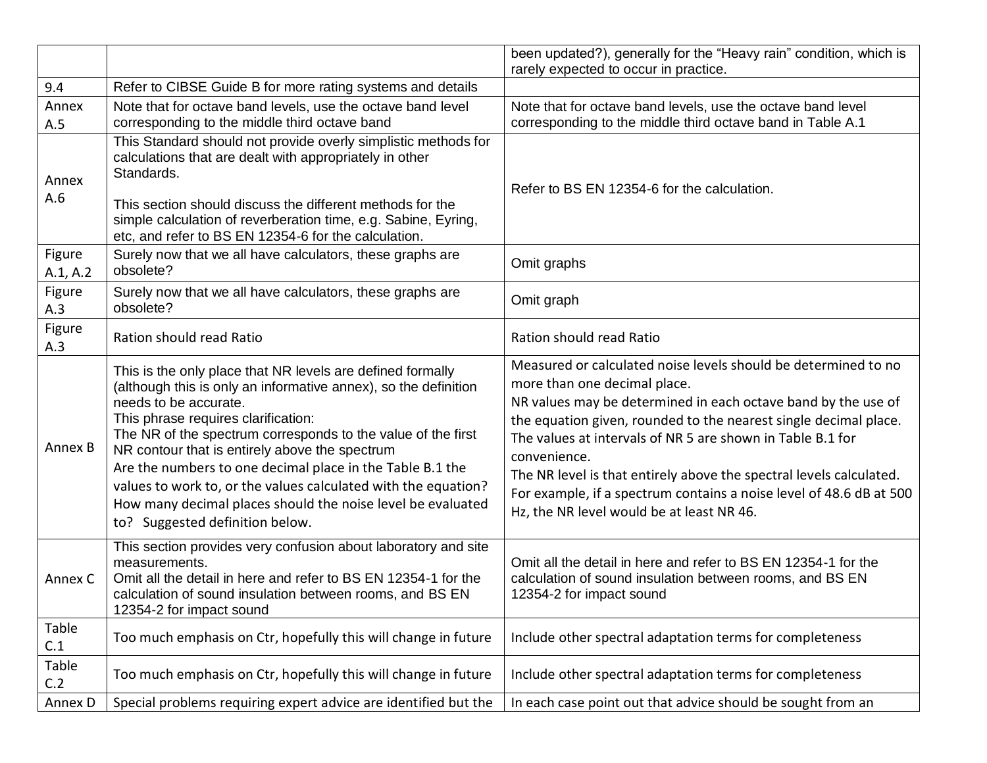|                    |                                                                                                                                                                                                                                                                                                                                                                                                                                                                                                                                                  | been updated?), generally for the "Heavy rain" condition, which is<br>rarely expected to occur in practice.                                                                                                                                                                                                                                                                                                                                                                                                  |
|--------------------|--------------------------------------------------------------------------------------------------------------------------------------------------------------------------------------------------------------------------------------------------------------------------------------------------------------------------------------------------------------------------------------------------------------------------------------------------------------------------------------------------------------------------------------------------|--------------------------------------------------------------------------------------------------------------------------------------------------------------------------------------------------------------------------------------------------------------------------------------------------------------------------------------------------------------------------------------------------------------------------------------------------------------------------------------------------------------|
| 9.4                | Refer to CIBSE Guide B for more rating systems and details                                                                                                                                                                                                                                                                                                                                                                                                                                                                                       |                                                                                                                                                                                                                                                                                                                                                                                                                                                                                                              |
| Annex<br>A.5       | Note that for octave band levels, use the octave band level<br>corresponding to the middle third octave band                                                                                                                                                                                                                                                                                                                                                                                                                                     | Note that for octave band levels, use the octave band level<br>corresponding to the middle third octave band in Table A.1                                                                                                                                                                                                                                                                                                                                                                                    |
| Annex<br>A.6       | This Standard should not provide overly simplistic methods for<br>calculations that are dealt with appropriately in other<br>Standards.<br>This section should discuss the different methods for the<br>simple calculation of reverberation time, e.g. Sabine, Eyring,<br>etc, and refer to BS EN 12354-6 for the calculation.                                                                                                                                                                                                                   | Refer to BS EN 12354-6 for the calculation.                                                                                                                                                                                                                                                                                                                                                                                                                                                                  |
| Figure<br>A.1, A.2 | Surely now that we all have calculators, these graphs are<br>obsolete?                                                                                                                                                                                                                                                                                                                                                                                                                                                                           | Omit graphs                                                                                                                                                                                                                                                                                                                                                                                                                                                                                                  |
| Figure<br>A.3      | Surely now that we all have calculators, these graphs are<br>obsolete?                                                                                                                                                                                                                                                                                                                                                                                                                                                                           | Omit graph                                                                                                                                                                                                                                                                                                                                                                                                                                                                                                   |
| Figure<br>A.3      | Ration should read Ratio                                                                                                                                                                                                                                                                                                                                                                                                                                                                                                                         | Ration should read Ratio                                                                                                                                                                                                                                                                                                                                                                                                                                                                                     |
| Annex B            | This is the only place that NR levels are defined formally<br>(although this is only an informative annex), so the definition<br>needs to be accurate.<br>This phrase requires clarification:<br>The NR of the spectrum corresponds to the value of the first<br>NR contour that is entirely above the spectrum<br>Are the numbers to one decimal place in the Table B.1 the<br>values to work to, or the values calculated with the equation?<br>How many decimal places should the noise level be evaluated<br>to? Suggested definition below. | Measured or calculated noise levels should be determined to no<br>more than one decimal place.<br>NR values may be determined in each octave band by the use of<br>the equation given, rounded to the nearest single decimal place.<br>The values at intervals of NR 5 are shown in Table B.1 for<br>convenience.<br>The NR level is that entirely above the spectral levels calculated.<br>For example, if a spectrum contains a noise level of 48.6 dB at 500<br>Hz, the NR level would be at least NR 46. |
| Annex C            | This section provides very confusion about laboratory and site<br>measurements.<br>Omit all the detail in here and refer to BS EN 12354-1 for the<br>calculation of sound insulation between rooms, and BS EN<br>12354-2 for impact sound                                                                                                                                                                                                                                                                                                        | Omit all the detail in here and refer to BS EN 12354-1 for the<br>calculation of sound insulation between rooms, and BS EN<br>12354-2 for impact sound                                                                                                                                                                                                                                                                                                                                                       |
| Table<br>C.1       | Too much emphasis on Ctr, hopefully this will change in future                                                                                                                                                                                                                                                                                                                                                                                                                                                                                   | Include other spectral adaptation terms for completeness                                                                                                                                                                                                                                                                                                                                                                                                                                                     |
| Table<br>C.2       | Too much emphasis on Ctr, hopefully this will change in future                                                                                                                                                                                                                                                                                                                                                                                                                                                                                   | Include other spectral adaptation terms for completeness                                                                                                                                                                                                                                                                                                                                                                                                                                                     |
| Annex D            | Special problems requiring expert advice are identified but the                                                                                                                                                                                                                                                                                                                                                                                                                                                                                  | In each case point out that advice should be sought from an                                                                                                                                                                                                                                                                                                                                                                                                                                                  |